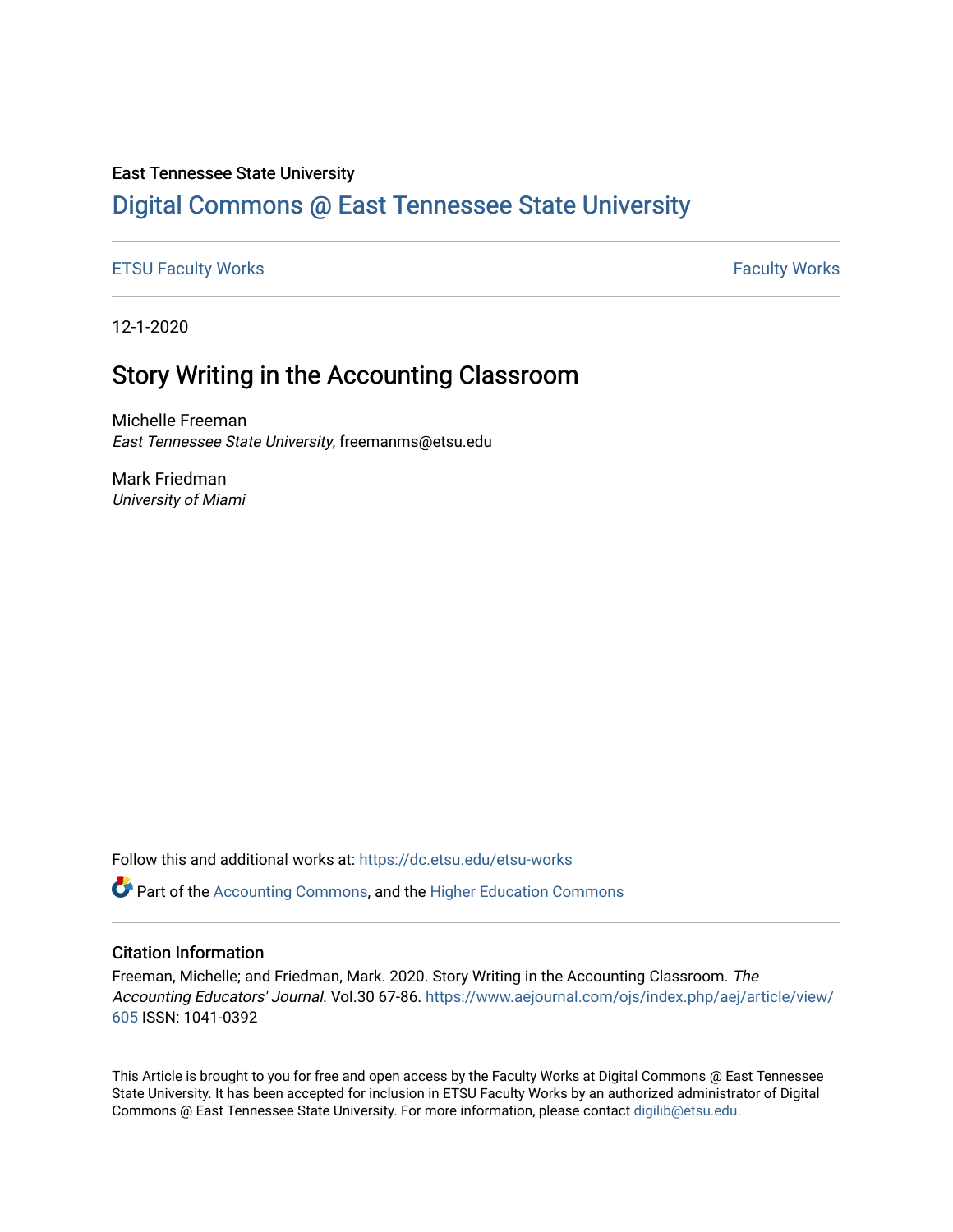# East Tennessee State University

# [Digital Commons @ East Tennessee State University](https://dc.etsu.edu/)

## [ETSU Faculty Works](https://dc.etsu.edu/etsu-works) **Faculty Works** [Faculty Works](https://dc.etsu.edu/faculty-works) **Faculty Works**

12-1-2020

# Story Writing in the Accounting Classroom

Michelle Freeman East Tennessee State University, freemanms@etsu.edu

Mark Friedman University of Miami

Follow this and additional works at: [https://dc.etsu.edu/etsu-works](https://dc.etsu.edu/etsu-works?utm_source=dc.etsu.edu%2Fetsu-works%2F8973&utm_medium=PDF&utm_campaign=PDFCoverPages) 

Part of the [Accounting Commons](http://network.bepress.com/hgg/discipline/625?utm_source=dc.etsu.edu%2Fetsu-works%2F8973&utm_medium=PDF&utm_campaign=PDFCoverPages), and the [Higher Education Commons](http://network.bepress.com/hgg/discipline/1245?utm_source=dc.etsu.edu%2Fetsu-works%2F8973&utm_medium=PDF&utm_campaign=PDFCoverPages)

## Citation Information

Freeman, Michelle; and Friedman, Mark. 2020. Story Writing in the Accounting Classroom. The Accounting Educators' Journal. Vol.30 67-86. [https://www.aejournal.com/ojs/index.php/aej/article/view/](https://www.aejournal.com/ojs/index.php/aej/article/view/605) [605](https://www.aejournal.com/ojs/index.php/aej/article/view/605) ISSN: 1041-0392

This Article is brought to you for free and open access by the Faculty Works at Digital Commons @ East Tennessee State University. It has been accepted for inclusion in ETSU Faculty Works by an authorized administrator of Digital Commons @ East Tennessee State University. For more information, please contact [digilib@etsu.edu.](mailto:digilib@etsu.edu)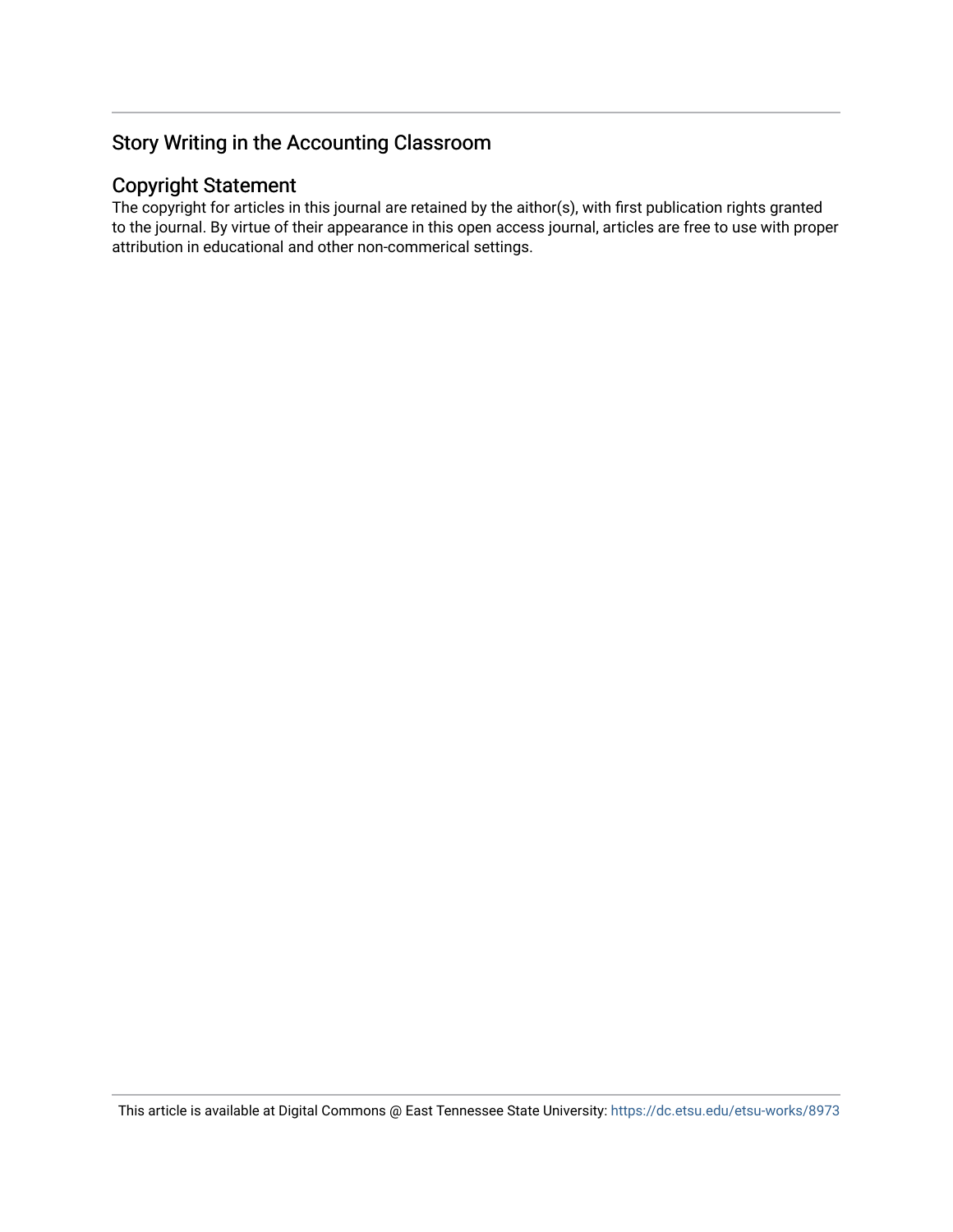# Copyright Statement

The copyright for articles in this journal are retained by the aithor(s), with first publication rights granted to the journal. By virtue of their appearance in this open access journal, articles are free to use with proper attribution in educational and other non-commerical settings.

This article is available at Digital Commons @ East Tennessee State University: <https://dc.etsu.edu/etsu-works/8973>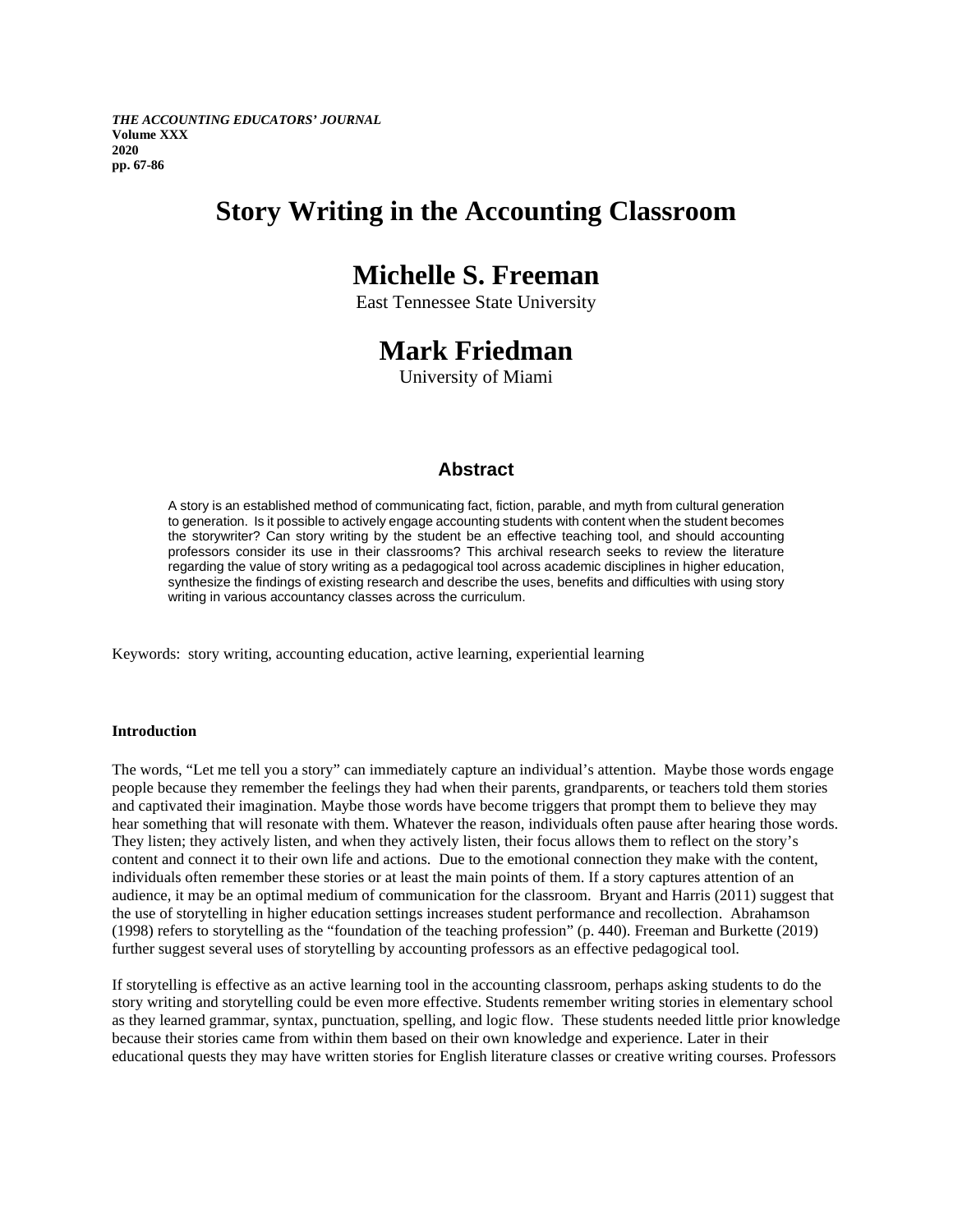*THE ACCOUNTING EDUCATORS' JOURNAL* **Volume XXX 2020 pp. 67-86**

# **Story Writing in the Accounting Classroom**

# **Michelle S. Freeman**

East Tennessee State University

# **Mark Friedman**

University of Miami

# **Abstract**

A story is an established method of communicating fact, fiction, parable, and myth from cultural generation to generation. Is it possible to actively engage accounting students with content when the student becomes the storywriter? Can story writing by the student be an effective teaching tool, and should accounting professors consider its use in their classrooms? This archival research seeks to review the literature regarding the value of story writing as a pedagogical tool across academic disciplines in higher education, synthesize the findings of existing research and describe the uses, benefits and difficulties with using story writing in various accountancy classes across the curriculum.

Keywords: story writing, accounting education, active learning, experiential learning

#### **Introduction**

The words, "Let me tell you a story" can immediately capture an individual's attention. Maybe those words engage people because they remember the feelings they had when their parents, grandparents, or teachers told them stories and captivated their imagination. Maybe those words have become triggers that prompt them to believe they may hear something that will resonate with them. Whatever the reason, individuals often pause after hearing those words. They listen; they actively listen, and when they actively listen, their focus allows them to reflect on the story's content and connect it to their own life and actions. Due to the emotional connection they make with the content, individuals often remember these stories or at least the main points of them. If a story captures attention of an audience, it may be an optimal medium of communication for the classroom. Bryant and Harris (2011) suggest that the use of storytelling in higher education settings increases student performance and recollection. Abrahamson (1998) refers to storytelling as the "foundation of the teaching profession" (p. 440). Freeman and Burkette (2019) further suggest several uses of storytelling by accounting professors as an effective pedagogical tool.

If storytelling is effective as an active learning tool in the accounting classroom, perhaps asking students to do the story writing and storytelling could be even more effective. Students remember writing stories in elementary school as they learned grammar, syntax, punctuation, spelling, and logic flow. These students needed little prior knowledge because their stories came from within them based on their own knowledge and experience. Later in their educational quests they may have written stories for English literature classes or creative writing courses. Professors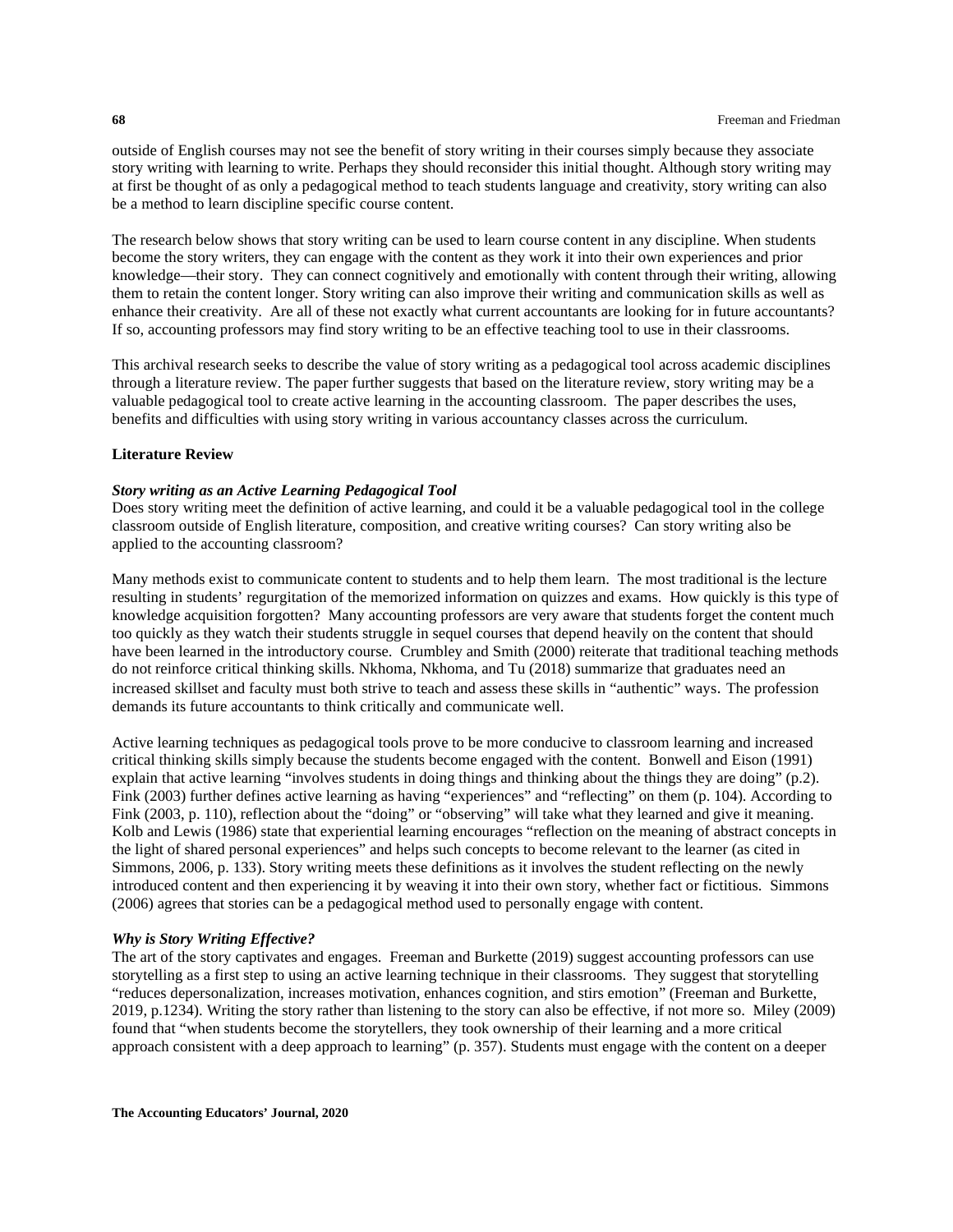outside of English courses may not see the benefit of story writing in their courses simply because they associate story writing with learning to write. Perhaps they should reconsider this initial thought. Although story writing may at first be thought of as only a pedagogical method to teach students language and creativity, story writing can also be a method to learn discipline specific course content.

The research below shows that story writing can be used to learn course content in any discipline. When students become the story writers, they can engage with the content as they work it into their own experiences and prior knowledge—their story. They can connect cognitively and emotionally with content through their writing, allowing them to retain the content longer. Story writing can also improve their writing and communication skills as well as enhance their creativity. Are all of these not exactly what current accountants are looking for in future accountants? If so, accounting professors may find story writing to be an effective teaching tool to use in their classrooms.

This archival research seeks to describe the value of story writing as a pedagogical tool across academic disciplines through a literature review. The paper further suggests that based on the literature review, story writing may be a valuable pedagogical tool to create active learning in the accounting classroom. The paper describes the uses, benefits and difficulties with using story writing in various accountancy classes across the curriculum.

## **Literature Review**

#### *Story writing as an Active Learning Pedagogical Tool*

Does story writing meet the definition of active learning, and could it be a valuable pedagogical tool in the college classroom outside of English literature, composition, and creative writing courses? Can story writing also be applied to the accounting classroom?

Many methods exist to communicate content to students and to help them learn. The most traditional is the lecture resulting in students' regurgitation of the memorized information on quizzes and exams. How quickly is this type of knowledge acquisition forgotten? Many accounting professors are very aware that students forget the content much too quickly as they watch their students struggle in sequel courses that depend heavily on the content that should have been learned in the introductory course. Crumbley and Smith (2000) reiterate that traditional teaching methods do not reinforce critical thinking skills. Nkhoma, Nkhoma, and Tu (2018) summarize that graduates need an increased skillset and faculty must both strive to teach and assess these skills in "authentic" ways. The profession demands its future accountants to think critically and communicate well.

Active learning techniques as pedagogical tools prove to be more conducive to classroom learning and increased critical thinking skills simply because the students become engaged with the content. Bonwell and Eison (1991) explain that active learning "involves students in doing things and thinking about the things they are doing" (p.2). Fink (2003) further defines active learning as having "experiences" and "reflecting" on them (p. 104). According to Fink (2003, p. 110), reflection about the "doing" or "observing" will take what they learned and give it meaning. Kolb and Lewis (1986) state that experiential learning encourages "reflection on the meaning of abstract concepts in the light of shared personal experiences" and helps such concepts to become relevant to the learner (as cited in Simmons, 2006, p. 133). Story writing meets these definitions as it involves the student reflecting on the newly introduced content and then experiencing it by weaving it into their own story, whether fact or fictitious. Simmons (2006) agrees that stories can be a pedagogical method used to personally engage with content.

#### *Why is Story Writing Effective?*

The art of the story captivates and engages. Freeman and Burkette (2019) suggest accounting professors can use storytelling as a first step to using an active learning technique in their classrooms. They suggest that storytelling "reduces depersonalization, increases motivation, enhances cognition, and stirs emotion" (Freeman and Burkette, 2019, p.1234). Writing the story rather than listening to the story can also be effective, if not more so. Miley (2009) found that "when students become the storytellers, they took ownership of their learning and a more critical approach consistent with a deep approach to learning" (p. 357). Students must engage with the content on a deeper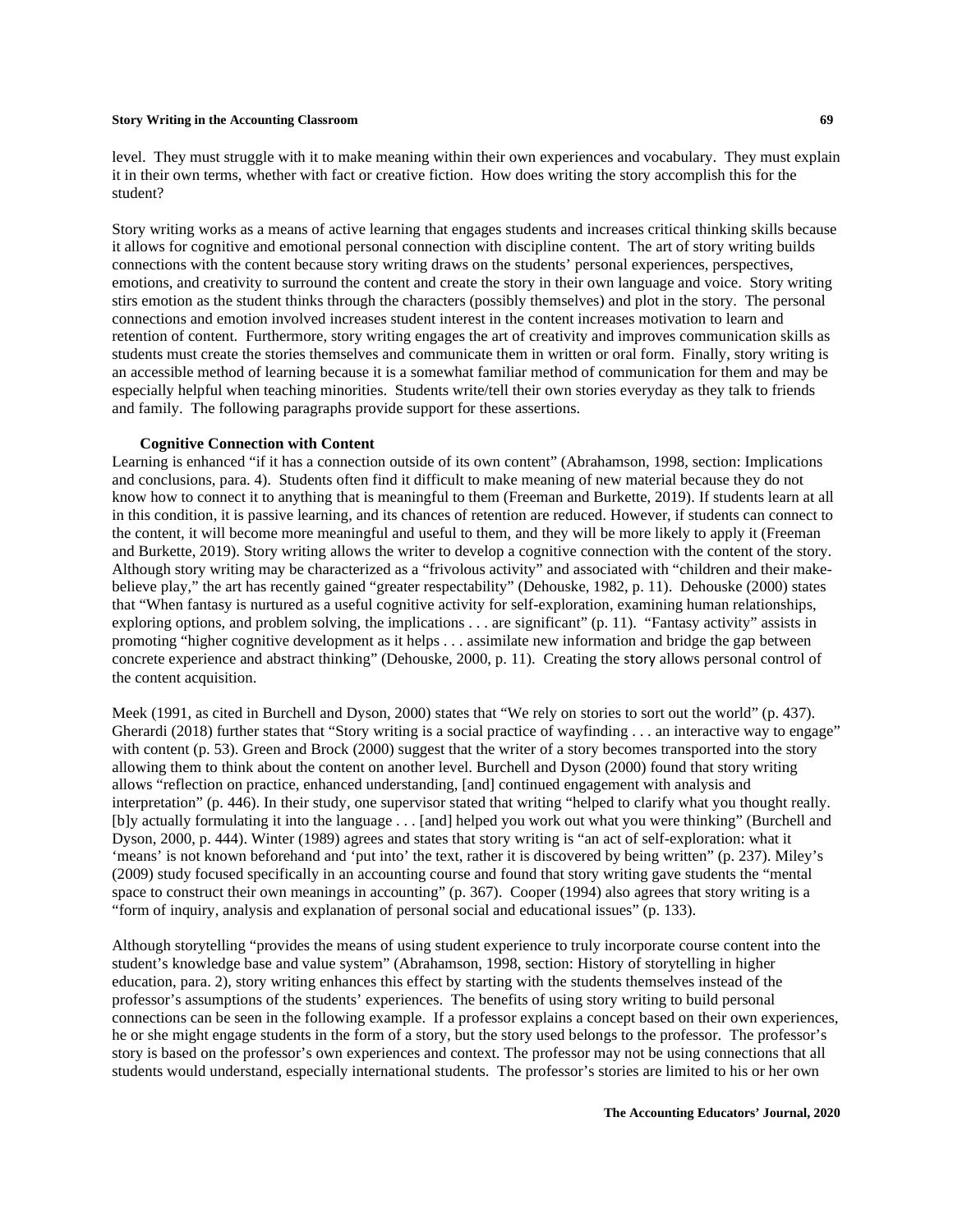level. They must struggle with it to make meaning within their own experiences and vocabulary. They must explain it in their own terms, whether with fact or creative fiction. How does writing the story accomplish this for the student?

Story writing works as a means of active learning that engages students and increases critical thinking skills because it allows for cognitive and emotional personal connection with discipline content. The art of story writing builds connections with the content because story writing draws on the students' personal experiences, perspectives, emotions, and creativity to surround the content and create the story in their own language and voice. Story writing stirs emotion as the student thinks through the characters (possibly themselves) and plot in the story. The personal connections and emotion involved increases student interest in the content increases motivation to learn and retention of content. Furthermore, story writing engages the art of creativity and improves communication skills as students must create the stories themselves and communicate them in written or oral form. Finally, story writing is an accessible method of learning because it is a somewhat familiar method of communication for them and may be especially helpful when teaching minorities. Students write/tell their own stories everyday as they talk to friends and family. The following paragraphs provide support for these assertions.

#### **Cognitive Connection with Content**

Learning is enhanced "if it has a connection outside of its own content" (Abrahamson, 1998, section: Implications and conclusions, para. 4). Students often find it difficult to make meaning of new material because they do not know how to connect it to anything that is meaningful to them (Freeman and Burkette, 2019). If students learn at all in this condition, it is passive learning, and its chances of retention are reduced. However, if students can connect to the content, it will become more meaningful and useful to them, and they will be more likely to apply it (Freeman and Burkette, 2019). Story writing allows the writer to develop a cognitive connection with the content of the story. Although story writing may be characterized as a "frivolous activity" and associated with "children and their makebelieve play," the art has recently gained "greater respectability" (Dehouske, 1982, p. 11). Dehouske (2000) states that "When fantasy is nurtured as a useful cognitive activity for self-exploration, examining human relationships, exploring options, and problem solving, the implications . . . are significant" (p. 11). "Fantasy activity" assists in promoting "higher cognitive development as it helps . . . assimilate new information and bridge the gap between concrete experience and abstract thinking" (Dehouske, 2000, p. 11). Creating the story allows personal control of the content acquisition.

Meek (1991, as cited in Burchell and Dyson, 2000) states that "We rely on stories to sort out the world" (p. 437). Gherardi (2018) further states that "Story writing is a social practice of wayfinding . . . an interactive way to engage" with content (p. 53). Green and Brock (2000) suggest that the writer of a story becomes transported into the story allowing them to think about the content on another level. Burchell and Dyson (2000) found that story writing allows "reflection on practice, enhanced understanding, [and] continued engagement with analysis and interpretation" (p. 446). In their study, one supervisor stated that writing "helped to clarify what you thought really. [b]y actually formulating it into the language . . . [and] helped you work out what you were thinking" (Burchell and Dyson, 2000, p. 444). Winter (1989) agrees and states that story writing is "an act of self-exploration: what it 'means' is not known beforehand and 'put into' the text, rather it is discovered by being written" (p. 237). Miley's (2009) study focused specifically in an accounting course and found that story writing gave students the "mental space to construct their own meanings in accounting" (p. 367). Cooper (1994) also agrees that story writing is a "form of inquiry, analysis and explanation of personal social and educational issues" (p. 133).

Although storytelling "provides the means of using student experience to truly incorporate course content into the student's knowledge base and value system" (Abrahamson, 1998, section: History of storytelling in higher education, para. 2), story writing enhances this effect by starting with the students themselves instead of the professor's assumptions of the students' experiences. The benefits of using story writing to build personal connections can be seen in the following example. If a professor explains a concept based on their own experiences, he or she might engage students in the form of a story, but the story used belongs to the professor. The professor's story is based on the professor's own experiences and context. The professor may not be using connections that all students would understand, especially international students. The professor's stories are limited to his or her own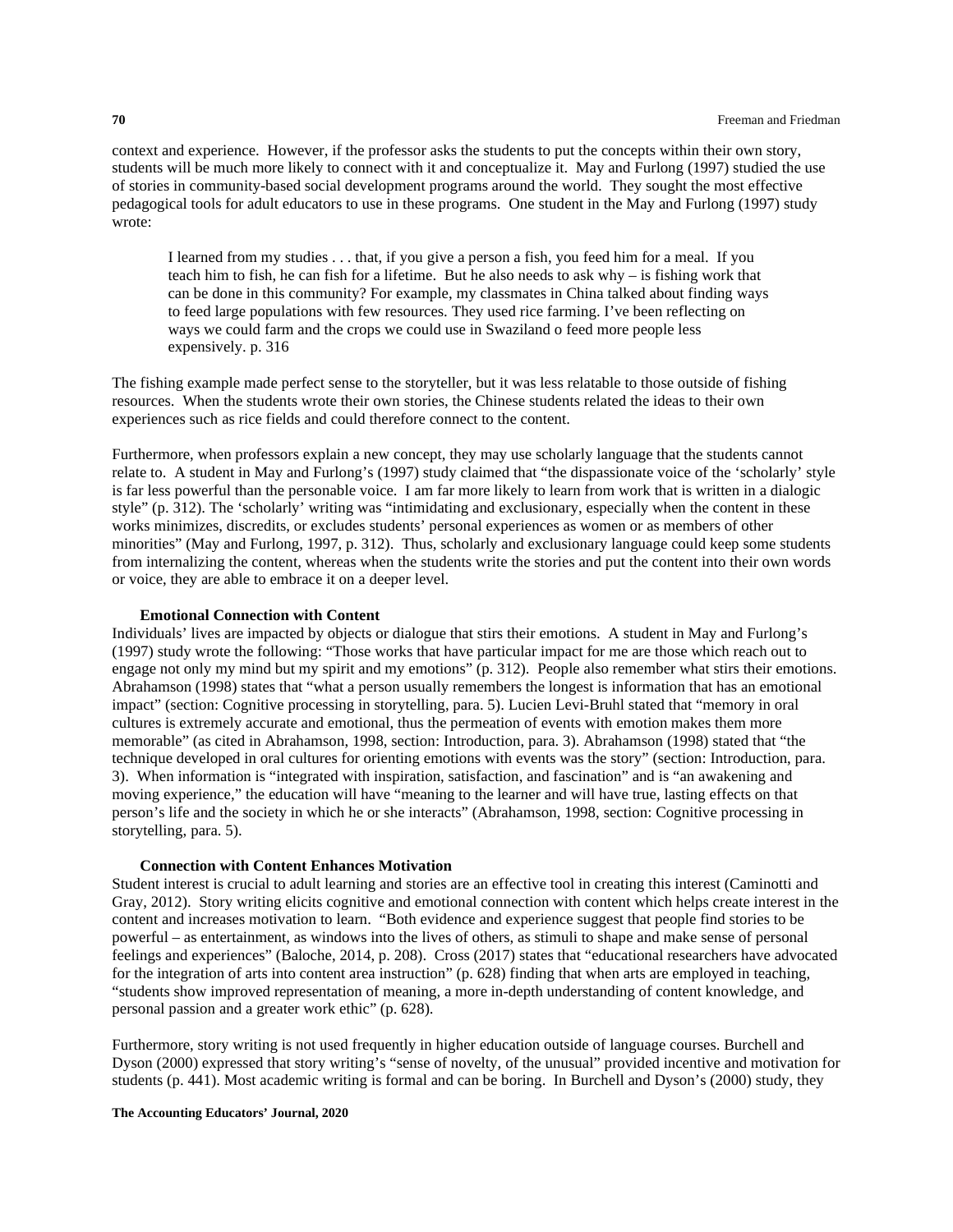context and experience. However, if the professor asks the students to put the concepts within their own story, students will be much more likely to connect with it and conceptualize it. May and Furlong (1997) studied the use of stories in community-based social development programs around the world. They sought the most effective pedagogical tools for adult educators to use in these programs. One student in the May and Furlong (1997) study wrote:

I learned from my studies . . . that, if you give a person a fish, you feed him for a meal. If you teach him to fish, he can fish for a lifetime. But he also needs to ask why – is fishing work that can be done in this community? For example, my classmates in China talked about finding ways to feed large populations with few resources. They used rice farming. I've been reflecting on ways we could farm and the crops we could use in Swaziland o feed more people less expensively. p. 316

The fishing example made perfect sense to the storyteller, but it was less relatable to those outside of fishing resources. When the students wrote their own stories, the Chinese students related the ideas to their own experiences such as rice fields and could therefore connect to the content.

Furthermore, when professors explain a new concept, they may use scholarly language that the students cannot relate to. A student in May and Furlong's (1997) study claimed that "the dispassionate voice of the 'scholarly' style is far less powerful than the personable voice. I am far more likely to learn from work that is written in a dialogic style" (p. 312). The 'scholarly' writing was "intimidating and exclusionary, especially when the content in these works minimizes, discredits, or excludes students' personal experiences as women or as members of other minorities" (May and Furlong, 1997, p. 312). Thus, scholarly and exclusionary language could keep some students from internalizing the content, whereas when the students write the stories and put the content into their own words or voice, they are able to embrace it on a deeper level.

#### **Emotional Connection with Content**

Individuals' lives are impacted by objects or dialogue that stirs their emotions. A student in May and Furlong's (1997) study wrote the following: "Those works that have particular impact for me are those which reach out to engage not only my mind but my spirit and my emotions" (p. 312). People also remember what stirs their emotions. Abrahamson (1998) states that "what a person usually remembers the longest is information that has an emotional impact" (section: Cognitive processing in storytelling, para. 5). Lucien Levi-Bruhl stated that "memory in oral cultures is extremely accurate and emotional, thus the permeation of events with emotion makes them more memorable" (as cited in Abrahamson, 1998, section: Introduction, para. 3). Abrahamson (1998) stated that "the technique developed in oral cultures for orienting emotions with events was the story" (section: Introduction, para. 3). When information is "integrated with inspiration, satisfaction, and fascination" and is "an awakening and moving experience," the education will have "meaning to the learner and will have true, lasting effects on that person's life and the society in which he or she interacts" (Abrahamson, 1998, section: Cognitive processing in storytelling, para. 5).

#### **Connection with Content Enhances Motivation**

Student interest is crucial to adult learning and stories are an effective tool in creating this interest (Caminotti and Gray, 2012). Story writing elicits cognitive and emotional connection with content which helps create interest in the content and increases motivation to learn. "Both evidence and experience suggest that people find stories to be powerful – as entertainment, as windows into the lives of others, as stimuli to shape and make sense of personal feelings and experiences" (Baloche, 2014, p. 208). Cross (2017) states that "educational researchers have advocated for the integration of arts into content area instruction" (p. 628) finding that when arts are employed in teaching, "students show improved representation of meaning, a more in-depth understanding of content knowledge, and personal passion and a greater work ethic" (p. 628).

Furthermore, story writing is not used frequently in higher education outside of language courses. Burchell and Dyson (2000) expressed that story writing's "sense of novelty, of the unusual" provided incentive and motivation for students (p. 441). Most academic writing is formal and can be boring. In Burchell and Dyson's (2000) study, they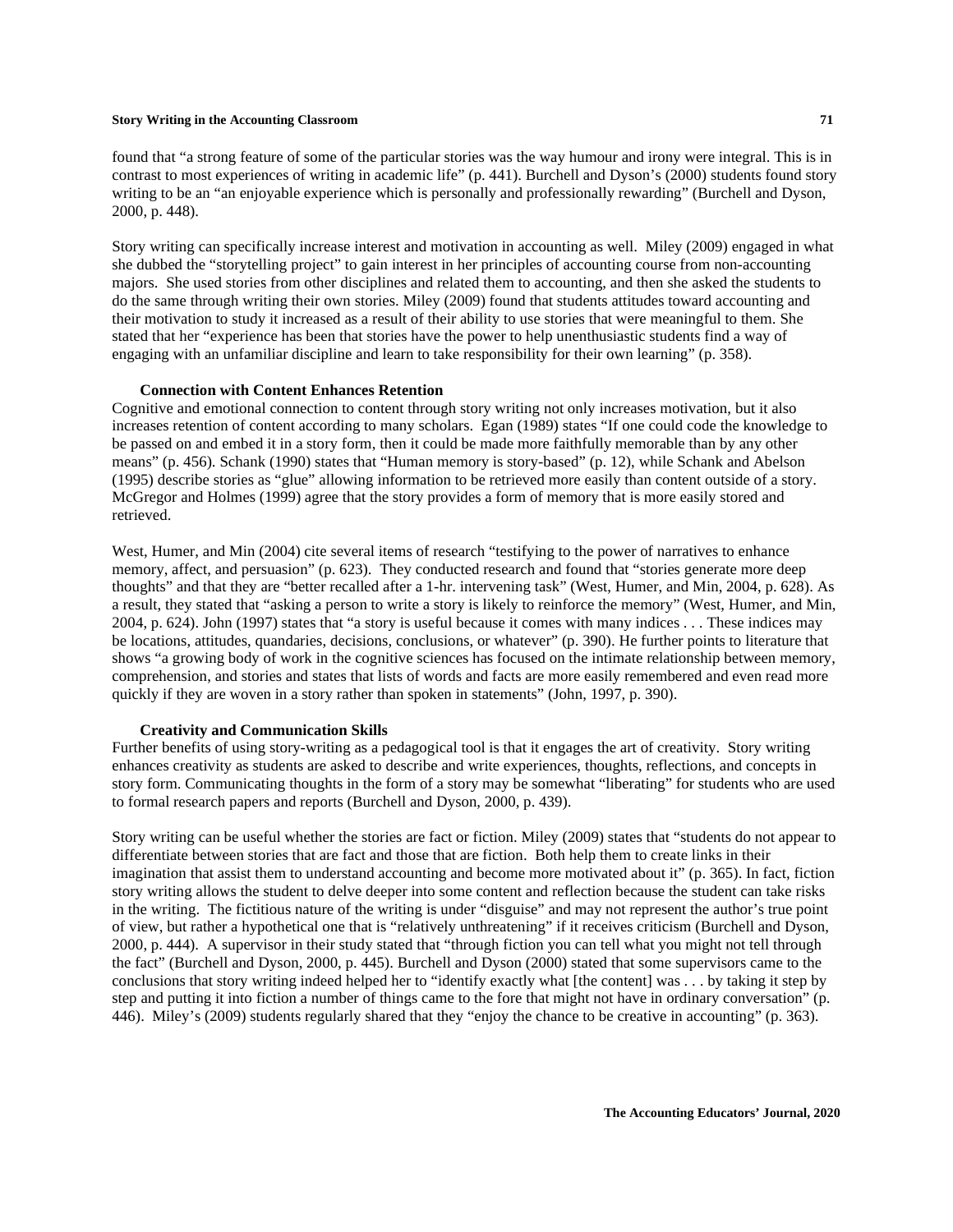found that "a strong feature of some of the particular stories was the way humour and irony were integral. This is in contrast to most experiences of writing in academic life" (p. 441). Burchell and Dyson's (2000) students found story writing to be an "an enjoyable experience which is personally and professionally rewarding" (Burchell and Dyson, 2000, p. 448).

Story writing can specifically increase interest and motivation in accounting as well. Miley (2009) engaged in what she dubbed the "storytelling project" to gain interest in her principles of accounting course from non-accounting majors. She used stories from other disciplines and related them to accounting, and then she asked the students to do the same through writing their own stories. Miley (2009) found that students attitudes toward accounting and their motivation to study it increased as a result of their ability to use stories that were meaningful to them. She stated that her "experience has been that stories have the power to help unenthusiastic students find a way of engaging with an unfamiliar discipline and learn to take responsibility for their own learning" (p. 358).

#### **Connection with Content Enhances Retention**

Cognitive and emotional connection to content through story writing not only increases motivation, but it also increases retention of content according to many scholars. Egan (1989) states "If one could code the knowledge to be passed on and embed it in a story form, then it could be made more faithfully memorable than by any other means" (p. 456). Schank (1990) states that "Human memory is story-based" (p. 12), while Schank and Abelson (1995) describe stories as "glue" allowing information to be retrieved more easily than content outside of a story. McGregor and Holmes (1999) agree that the story provides a form of memory that is more easily stored and retrieved.

West, Humer, and Min (2004) cite several items of research "testifying to the power of narratives to enhance memory, affect, and persuasion" (p. 623). They conducted research and found that "stories generate more deep thoughts" and that they are "better recalled after a 1-hr. intervening task" (West, Humer, and Min, 2004, p. 628). As a result, they stated that "asking a person to write a story is likely to reinforce the memory" (West, Humer, and Min, 2004, p. 624). John (1997) states that "a story is useful because it comes with many indices . . . These indices may be locations, attitudes, quandaries, decisions, conclusions, or whatever" (p. 390). He further points to literature that shows "a growing body of work in the cognitive sciences has focused on the intimate relationship between memory, comprehension, and stories and states that lists of words and facts are more easily remembered and even read more quickly if they are woven in a story rather than spoken in statements" (John, 1997, p. 390).

#### **Creativity and Communication Skills**

Further benefits of using story-writing as a pedagogical tool is that it engages the art of creativity. Story writing enhances creativity as students are asked to describe and write experiences, thoughts, reflections, and concepts in story form. Communicating thoughts in the form of a story may be somewhat "liberating" for students who are used to formal research papers and reports (Burchell and Dyson, 2000, p. 439).

Story writing can be useful whether the stories are fact or fiction. Miley (2009) states that "students do not appear to differentiate between stories that are fact and those that are fiction. Both help them to create links in their imagination that assist them to understand accounting and become more motivated about it" (p. 365). In fact, fiction story writing allows the student to delve deeper into some content and reflection because the student can take risks in the writing. The fictitious nature of the writing is under "disguise" and may not represent the author's true point of view, but rather a hypothetical one that is "relatively unthreatening" if it receives criticism (Burchell and Dyson, 2000, p. 444). A supervisor in their study stated that "through fiction you can tell what you might not tell through the fact" (Burchell and Dyson, 2000, p. 445). Burchell and Dyson (2000) stated that some supervisors came to the conclusions that story writing indeed helped her to "identify exactly what [the content] was . . . by taking it step by step and putting it into fiction a number of things came to the fore that might not have in ordinary conversation" (p. 446). Miley's (2009) students regularly shared that they "enjoy the chance to be creative in accounting" (p. 363).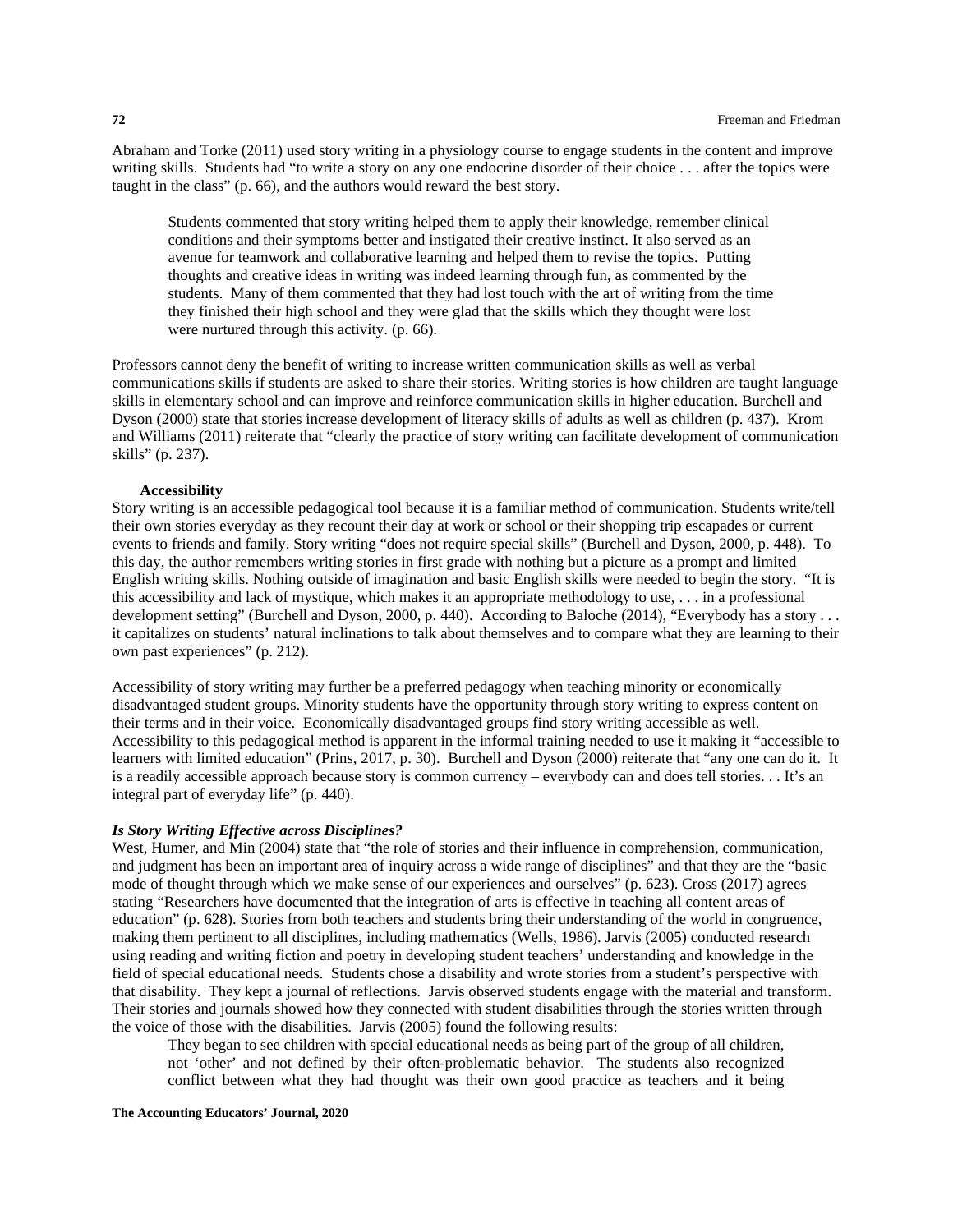Abraham and Torke (2011) used story writing in a physiology course to engage students in the content and improve writing skills. Students had "to write a story on any one endocrine disorder of their choice . . . after the topics were taught in the class" (p. 66), and the authors would reward the best story.

Students commented that story writing helped them to apply their knowledge, remember clinical conditions and their symptoms better and instigated their creative instinct. It also served as an avenue for teamwork and collaborative learning and helped them to revise the topics. Putting thoughts and creative ideas in writing was indeed learning through fun, as commented by the students. Many of them commented that they had lost touch with the art of writing from the time they finished their high school and they were glad that the skills which they thought were lost were nurtured through this activity. (p. 66).

Professors cannot deny the benefit of writing to increase written communication skills as well as verbal communications skills if students are asked to share their stories. Writing stories is how children are taught language skills in elementary school and can improve and reinforce communication skills in higher education. Burchell and Dyson (2000) state that stories increase development of literacy skills of adults as well as children (p. 437). Krom and Williams (2011) reiterate that "clearly the practice of story writing can facilitate development of communication skills" (p. 237).

#### **Accessibility**

Story writing is an accessible pedagogical tool because it is a familiar method of communication. Students write/tell their own stories everyday as they recount their day at work or school or their shopping trip escapades or current events to friends and family. Story writing "does not require special skills" (Burchell and Dyson, 2000, p. 448). To this day, the author remembers writing stories in first grade with nothing but a picture as a prompt and limited English writing skills. Nothing outside of imagination and basic English skills were needed to begin the story. "It is this accessibility and lack of mystique, which makes it an appropriate methodology to use, . . . in a professional development setting" (Burchell and Dyson, 2000, p. 440). According to Baloche (2014), "Everybody has a story . . . it capitalizes on students' natural inclinations to talk about themselves and to compare what they are learning to their own past experiences" (p. 212).

Accessibility of story writing may further be a preferred pedagogy when teaching minority or economically disadvantaged student groups. Minority students have the opportunity through story writing to express content on their terms and in their voice. Economically disadvantaged groups find story writing accessible as well. Accessibility to this pedagogical method is apparent in the informal training needed to use it making it "accessible to learners with limited education" (Prins, 2017, p. 30). Burchell and Dyson (2000) reiterate that "any one can do it. It is a readily accessible approach because story is common currency – everybody can and does tell stories. . . It's an integral part of everyday life" (p. 440).

### *Is Story Writing Effective across Disciplines?*

West, Humer, and Min (2004) state that "the role of stories and their influence in comprehension, communication, and judgment has been an important area of inquiry across a wide range of disciplines" and that they are the "basic mode of thought through which we make sense of our experiences and ourselves" (p. 623). Cross (2017) agrees stating "Researchers have documented that the integration of arts is effective in teaching all content areas of education" (p. 628). Stories from both teachers and students bring their understanding of the world in congruence, making them pertinent to all disciplines, including mathematics (Wells, 1986). Jarvis (2005) conducted research using reading and writing fiction and poetry in developing student teachers' understanding and knowledge in the field of special educational needs. Students chose a disability and wrote stories from a student's perspective with that disability. They kept a journal of reflections. Jarvis observed students engage with the material and transform. Their stories and journals showed how they connected with student disabilities through the stories written through the voice of those with the disabilities. Jarvis (2005) found the following results:

They began to see children with special educational needs as being part of the group of all children, not 'other' and not defined by their often-problematic behavior. The students also recognized conflict between what they had thought was their own good practice as teachers and it being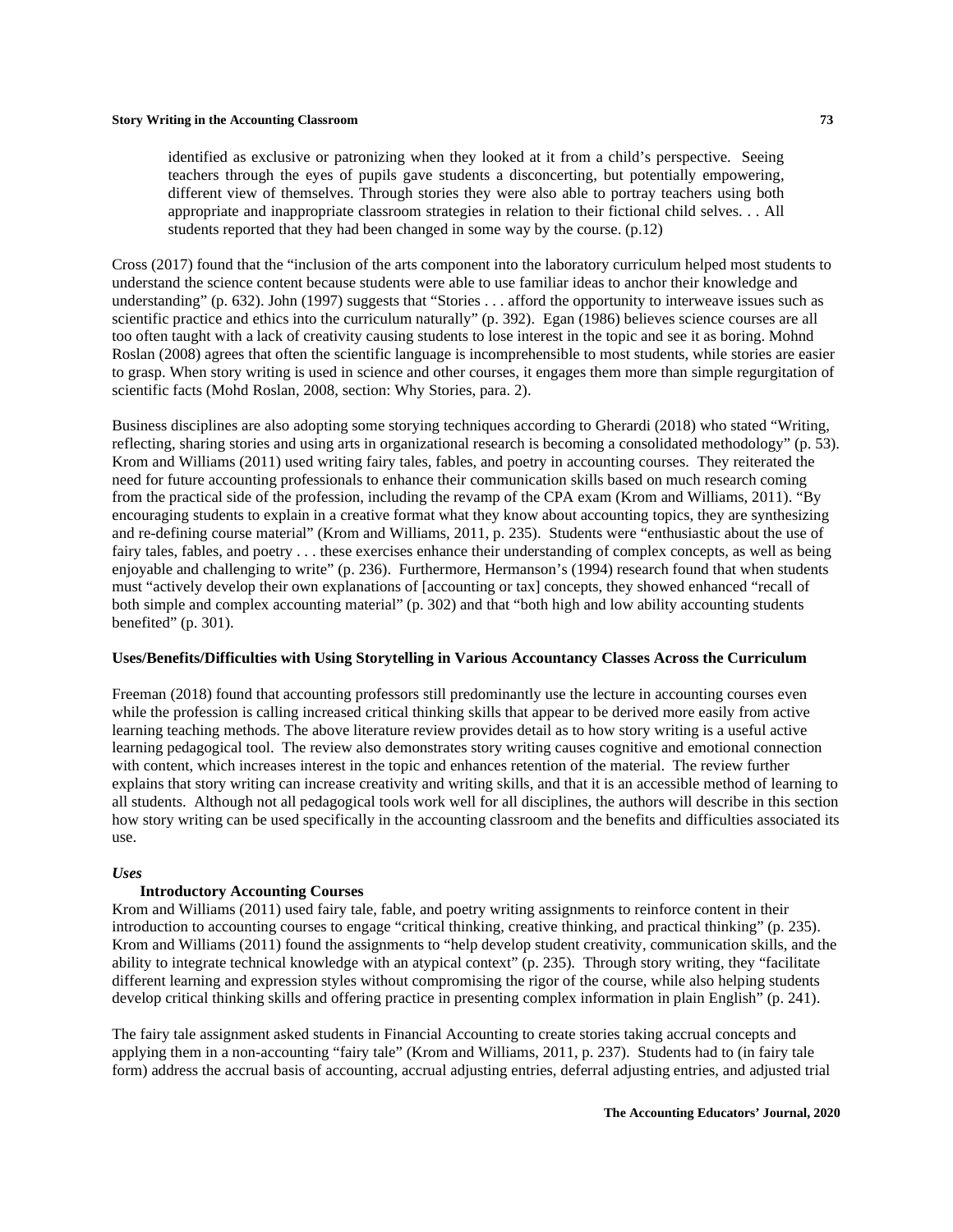identified as exclusive or patronizing when they looked at it from a child's perspective. Seeing teachers through the eyes of pupils gave students a disconcerting, but potentially empowering, different view of themselves. Through stories they were also able to portray teachers using both appropriate and inappropriate classroom strategies in relation to their fictional child selves. . . All students reported that they had been changed in some way by the course. (p.12)

Cross (2017) found that the "inclusion of the arts component into the laboratory curriculum helped most students to understand the science content because students were able to use familiar ideas to anchor their knowledge and understanding" (p. 632). John (1997) suggests that "Stories . . . afford the opportunity to interweave issues such as scientific practice and ethics into the curriculum naturally" (p. 392). Egan (1986) believes science courses are all too often taught with a lack of creativity causing students to lose interest in the topic and see it as boring. Mohnd Roslan (2008) agrees that often the scientific language is incomprehensible to most students, while stories are easier to grasp. When story writing is used in science and other courses, it engages them more than simple regurgitation of scientific facts (Mohd Roslan, 2008, section: Why Stories, para. 2).

Business disciplines are also adopting some storying techniques according to Gherardi (2018) who stated "Writing, reflecting, sharing stories and using arts in organizational research is becoming a consolidated methodology" (p. 53). Krom and Williams (2011) used writing fairy tales, fables, and poetry in accounting courses. They reiterated the need for future accounting professionals to enhance their communication skills based on much research coming from the practical side of the profession, including the revamp of the CPA exam (Krom and Williams, 2011). "By encouraging students to explain in a creative format what they know about accounting topics, they are synthesizing and re-defining course material" (Krom and Williams, 2011, p. 235). Students were "enthusiastic about the use of fairy tales, fables, and poetry . . . these exercises enhance their understanding of complex concepts, as well as being enjoyable and challenging to write" (p. 236). Furthermore, Hermanson's (1994) research found that when students must "actively develop their own explanations of [accounting or tax] concepts, they showed enhanced "recall of both simple and complex accounting material" (p. 302) and that "both high and low ability accounting students benefited" (p. 301).

### **Uses/Benefits/Difficulties with Using Storytelling in Various Accountancy Classes Across the Curriculum**

Freeman (2018) found that accounting professors still predominantly use the lecture in accounting courses even while the profession is calling increased critical thinking skills that appear to be derived more easily from active learning teaching methods. The above literature review provides detail as to how story writing is a useful active learning pedagogical tool. The review also demonstrates story writing causes cognitive and emotional connection with content, which increases interest in the topic and enhances retention of the material. The review further explains that story writing can increase creativity and writing skills, and that it is an accessible method of learning to all students. Although not all pedagogical tools work well for all disciplines, the authors will describe in this section how story writing can be used specifically in the accounting classroom and the benefits and difficulties associated its use.

#### *Uses*

### **Introductory Accounting Courses**

Krom and Williams (2011) used fairy tale, fable, and poetry writing assignments to reinforce content in their introduction to accounting courses to engage "critical thinking, creative thinking, and practical thinking" (p. 235). Krom and Williams (2011) found the assignments to "help develop student creativity, communication skills, and the ability to integrate technical knowledge with an atypical context" (p. 235). Through story writing, they "facilitate different learning and expression styles without compromising the rigor of the course, while also helping students develop critical thinking skills and offering practice in presenting complex information in plain English" (p. 241).

The fairy tale assignment asked students in Financial Accounting to create stories taking accrual concepts and applying them in a non-accounting "fairy tale" (Krom and Williams, 2011, p. 237). Students had to (in fairy tale form) address the accrual basis of accounting, accrual adjusting entries, deferral adjusting entries, and adjusted trial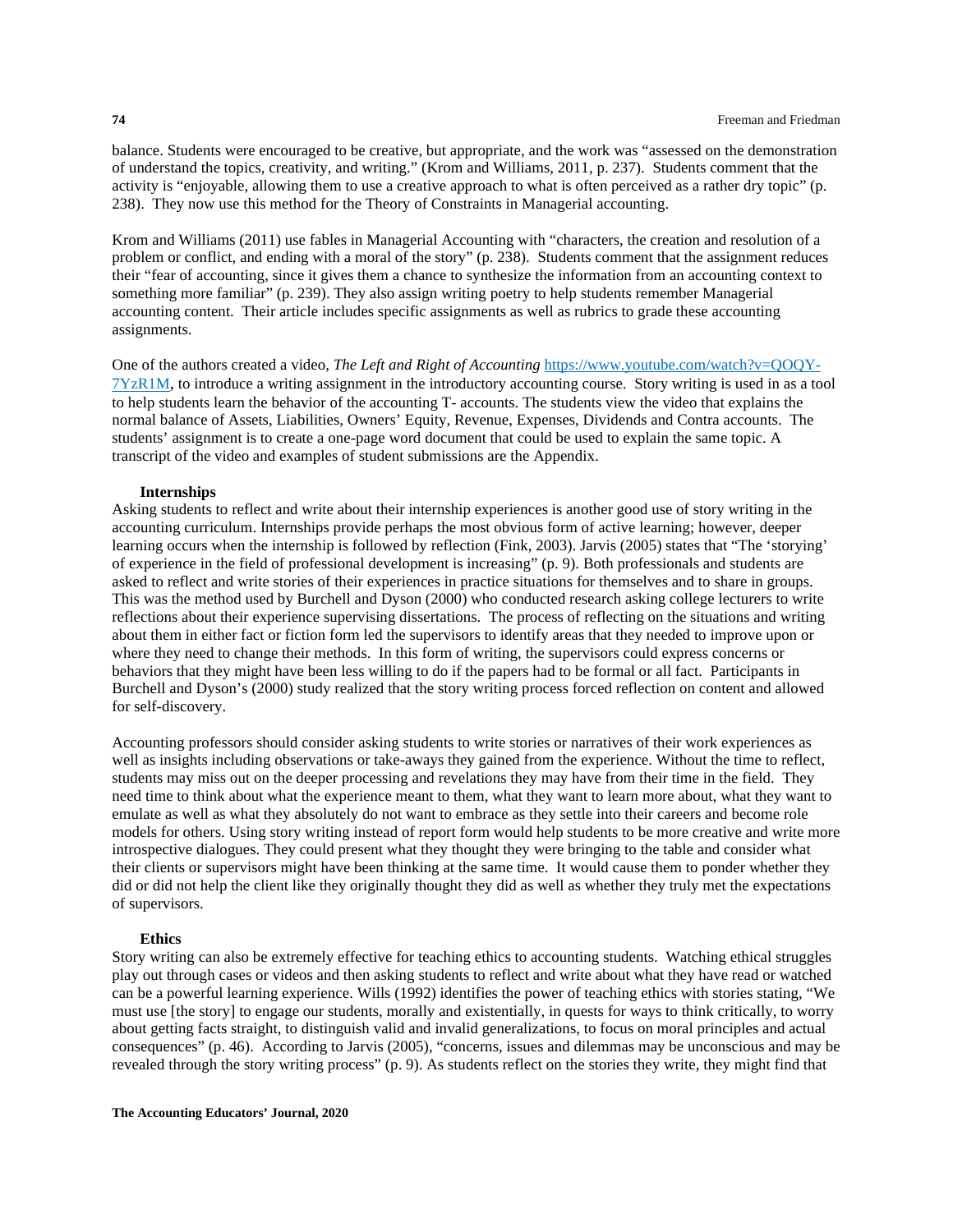balance. Students were encouraged to be creative, but appropriate, and the work was "assessed on the demonstration of understand the topics, creativity, and writing." (Krom and Williams, 2011, p. 237). Students comment that the activity is "enjoyable, allowing them to use a creative approach to what is often perceived as a rather dry topic" (p. 238). They now use this method for the Theory of Constraints in Managerial accounting.

Krom and Williams (2011) use fables in Managerial Accounting with "characters, the creation and resolution of a problem or conflict, and ending with a moral of the story" (p. 238). Students comment that the assignment reduces their "fear of accounting, since it gives them a chance to synthesize the information from an accounting context to something more familiar" (p. 239). They also assign writing poetry to help students remember Managerial accounting content. Their article includes specific assignments as well as rubrics to grade these accounting assignments.

One of the authors created a video, *The Left and Right of Accounting* [https://www.youtube.com/watch?v=QOQY-](https://www.youtube.com/watch?v=QOQY-7YzR1M)[7YzR1M,](https://www.youtube.com/watch?v=QOQY-7YzR1M) to introduce a writing assignment in the introductory accounting course. Story writing is used in as a tool to help students learn the behavior of the accounting T- accounts. The students view the video that explains the normal balance of Assets, Liabilities, Owners' Equity, Revenue, Expenses, Dividends and Contra accounts. The students' assignment is to create a one-page word document that could be used to explain the same topic. A transcript of the video and examples of student submissions are the Appendix.

#### **Internships**

Asking students to reflect and write about their internship experiences is another good use of story writing in the accounting curriculum. Internships provide perhaps the most obvious form of active learning; however, deeper learning occurs when the internship is followed by reflection (Fink, 2003). Jarvis (2005) states that "The 'storying' of experience in the field of professional development is increasing" (p. 9). Both professionals and students are asked to reflect and write stories of their experiences in practice situations for themselves and to share in groups. This was the method used by Burchell and Dyson (2000) who conducted research asking college lecturers to write reflections about their experience supervising dissertations. The process of reflecting on the situations and writing about them in either fact or fiction form led the supervisors to identify areas that they needed to improve upon or where they need to change their methods. In this form of writing, the supervisors could express concerns or behaviors that they might have been less willing to do if the papers had to be formal or all fact. Participants in Burchell and Dyson's (2000) study realized that the story writing process forced reflection on content and allowed for self-discovery.

Accounting professors should consider asking students to write stories or narratives of their work experiences as well as insights including observations or take-aways they gained from the experience. Without the time to reflect, students may miss out on the deeper processing and revelations they may have from their time in the field. They need time to think about what the experience meant to them, what they want to learn more about, what they want to emulate as well as what they absolutely do not want to embrace as they settle into their careers and become role models for others. Using story writing instead of report form would help students to be more creative and write more introspective dialogues. They could present what they thought they were bringing to the table and consider what their clients or supervisors might have been thinking at the same time. It would cause them to ponder whether they did or did not help the client like they originally thought they did as well as whether they truly met the expectations of supervisors.

#### **Ethics**

Story writing can also be extremely effective for teaching ethics to accounting students. Watching ethical struggles play out through cases or videos and then asking students to reflect and write about what they have read or watched can be a powerful learning experience. Wills (1992) identifies the power of teaching ethics with stories stating, "We must use [the story] to engage our students, morally and existentially, in quests for ways to think critically, to worry about getting facts straight, to distinguish valid and invalid generalizations, to focus on moral principles and actual consequences" (p. 46). According to Jarvis (2005), "concerns, issues and dilemmas may be unconscious and may be revealed through the story writing process" (p. 9). As students reflect on the stories they write, they might find that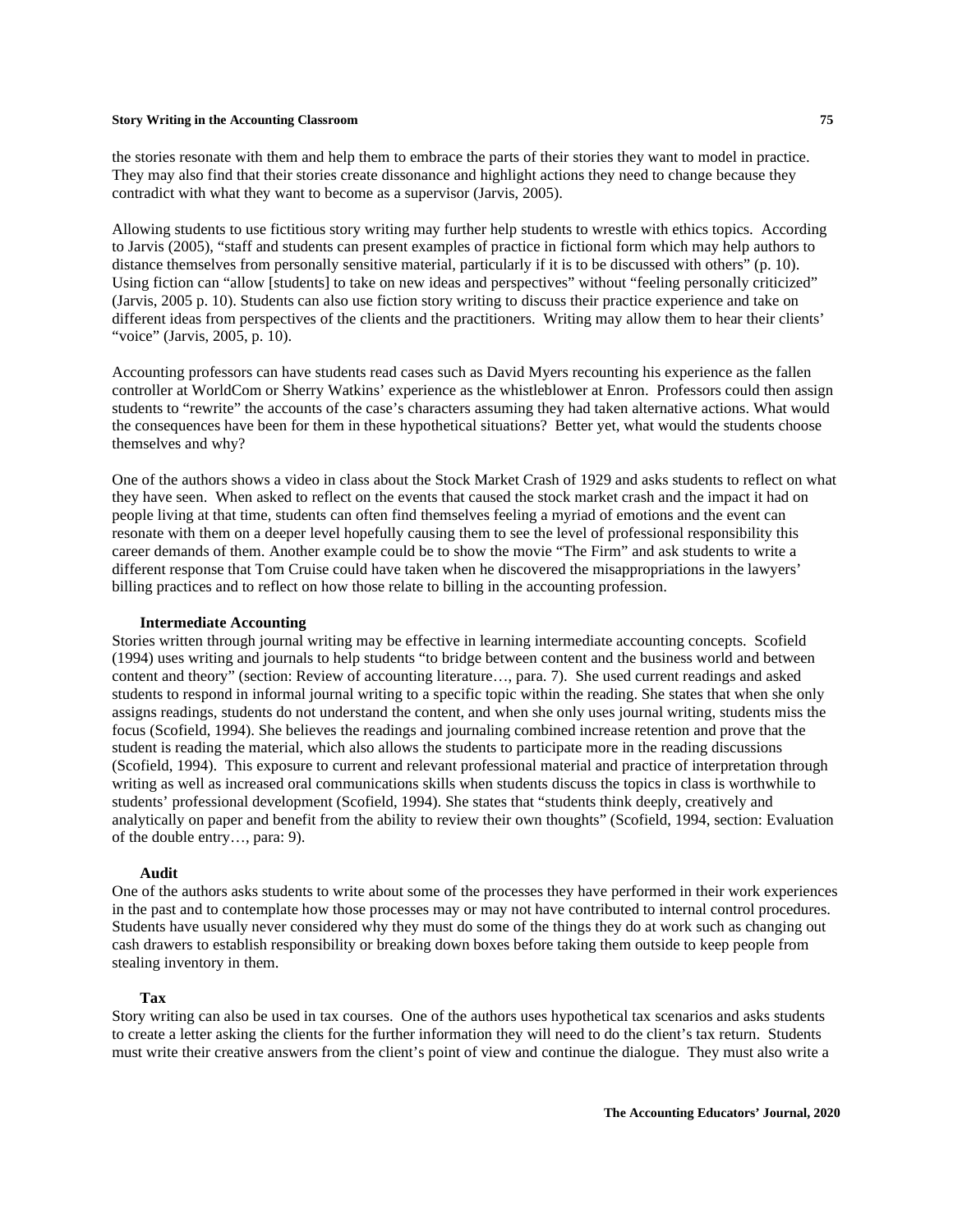the stories resonate with them and help them to embrace the parts of their stories they want to model in practice. They may also find that their stories create dissonance and highlight actions they need to change because they contradict with what they want to become as a supervisor (Jarvis, 2005).

Allowing students to use fictitious story writing may further help students to wrestle with ethics topics. According to Jarvis (2005), "staff and students can present examples of practice in fictional form which may help authors to distance themselves from personally sensitive material, particularly if it is to be discussed with others" (p. 10). Using fiction can "allow [students] to take on new ideas and perspectives" without "feeling personally criticized" (Jarvis, 2005 p. 10). Students can also use fiction story writing to discuss their practice experience and take on different ideas from perspectives of the clients and the practitioners. Writing may allow them to hear their clients' "voice" (Jarvis, 2005, p. 10).

Accounting professors can have students read cases such as David Myers recounting his experience as the fallen controller at WorldCom or Sherry Watkins' experience as the whistleblower at Enron. Professors could then assign students to "rewrite" the accounts of the case's characters assuming they had taken alternative actions. What would the consequences have been for them in these hypothetical situations? Better yet, what would the students choose themselves and why?

One of the authors shows a video in class about the Stock Market Crash of 1929 and asks students to reflect on what they have seen. When asked to reflect on the events that caused the stock market crash and the impact it had on people living at that time, students can often find themselves feeling a myriad of emotions and the event can resonate with them on a deeper level hopefully causing them to see the level of professional responsibility this career demands of them. Another example could be to show the movie "The Firm" and ask students to write a different response that Tom Cruise could have taken when he discovered the misappropriations in the lawyers' billing practices and to reflect on how those relate to billing in the accounting profession.

#### **Intermediate Accounting**

Stories written through journal writing may be effective in learning intermediate accounting concepts. Scofield (1994) uses writing and journals to help students "to bridge between content and the business world and between content and theory" (section: Review of accounting literature…, para. 7). She used current readings and asked students to respond in informal journal writing to a specific topic within the reading. She states that when she only assigns readings, students do not understand the content, and when she only uses journal writing, students miss the focus (Scofield, 1994). She believes the readings and journaling combined increase retention and prove that the student is reading the material, which also allows the students to participate more in the reading discussions (Scofield, 1994). This exposure to current and relevant professional material and practice of interpretation through writing as well as increased oral communications skills when students discuss the topics in class is worthwhile to students' professional development (Scofield, 1994). She states that "students think deeply, creatively and analytically on paper and benefit from the ability to review their own thoughts" (Scofield, 1994, section: Evaluation of the double entry…, para: 9).

#### **Audit**

One of the authors asks students to write about some of the processes they have performed in their work experiences in the past and to contemplate how those processes may or may not have contributed to internal control procedures. Students have usually never considered why they must do some of the things they do at work such as changing out cash drawers to establish responsibility or breaking down boxes before taking them outside to keep people from stealing inventory in them.

#### **Tax**

Story writing can also be used in tax courses. One of the authors uses hypothetical tax scenarios and asks students to create a letter asking the clients for the further information they will need to do the client's tax return. Students must write their creative answers from the client's point of view and continue the dialogue. They must also write a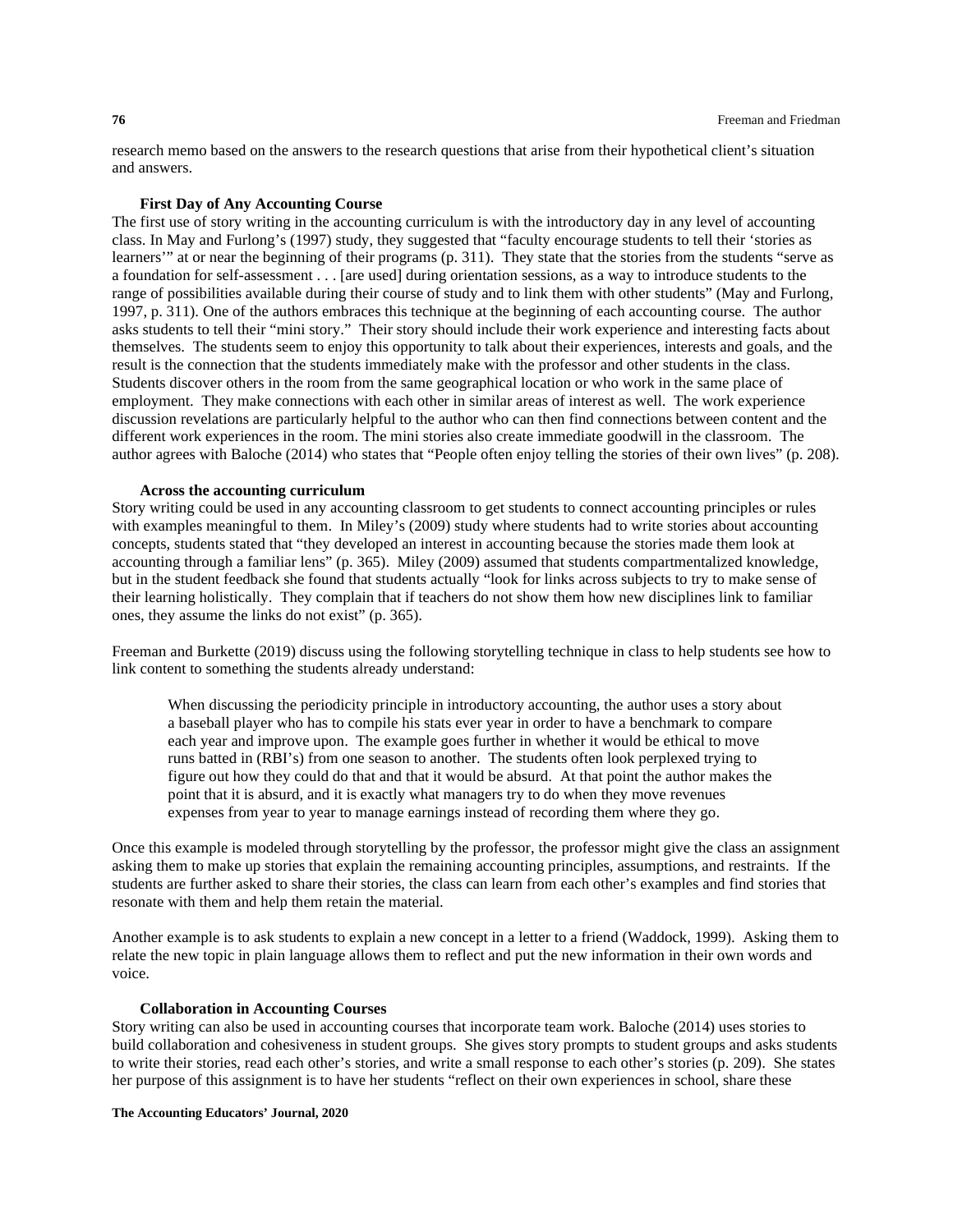research memo based on the answers to the research questions that arise from their hypothetical client's situation and answers.

## **First Day of Any Accounting Course**

The first use of story writing in the accounting curriculum is with the introductory day in any level of accounting class. In May and Furlong's (1997) study, they suggested that "faculty encourage students to tell their 'stories as learners'" at or near the beginning of their programs (p. 311). They state that the stories from the students "serve as a foundation for self-assessment . . . [are used] during orientation sessions, as a way to introduce students to the range of possibilities available during their course of study and to link them with other students" (May and Furlong, 1997, p. 311). One of the authors embraces this technique at the beginning of each accounting course. The author asks students to tell their "mini story." Their story should include their work experience and interesting facts about themselves. The students seem to enjoy this opportunity to talk about their experiences, interests and goals, and the result is the connection that the students immediately make with the professor and other students in the class. Students discover others in the room from the same geographical location or who work in the same place of employment. They make connections with each other in similar areas of interest as well. The work experience discussion revelations are particularly helpful to the author who can then find connections between content and the different work experiences in the room. The mini stories also create immediate goodwill in the classroom. The author agrees with Baloche (2014) who states that "People often enjoy telling the stories of their own lives" (p. 208).

#### **Across the accounting curriculum**

Story writing could be used in any accounting classroom to get students to connect accounting principles or rules with examples meaningful to them. In Miley's (2009) study where students had to write stories about accounting concepts, students stated that "they developed an interest in accounting because the stories made them look at accounting through a familiar lens" (p. 365). Miley (2009) assumed that students compartmentalized knowledge, but in the student feedback she found that students actually "look for links across subjects to try to make sense of their learning holistically. They complain that if teachers do not show them how new disciplines link to familiar ones, they assume the links do not exist" (p. 365).

Freeman and Burkette (2019) discuss using the following storytelling technique in class to help students see how to link content to something the students already understand:

When discussing the periodicity principle in introductory accounting, the author uses a story about a baseball player who has to compile his stats ever year in order to have a benchmark to compare each year and improve upon. The example goes further in whether it would be ethical to move runs batted in (RBI's) from one season to another. The students often look perplexed trying to figure out how they could do that and that it would be absurd. At that point the author makes the point that it is absurd, and it is exactly what managers try to do when they move revenues expenses from year to year to manage earnings instead of recording them where they go.

Once this example is modeled through storytelling by the professor, the professor might give the class an assignment asking them to make up stories that explain the remaining accounting principles, assumptions, and restraints. If the students are further asked to share their stories, the class can learn from each other's examples and find stories that resonate with them and help them retain the material.

Another example is to ask students to explain a new concept in a letter to a friend (Waddock, 1999). Asking them to relate the new topic in plain language allows them to reflect and put the new information in their own words and voice.

#### **Collaboration in Accounting Courses**

Story writing can also be used in accounting courses that incorporate team work. Baloche (2014) uses stories to build collaboration and cohesiveness in student groups. She gives story prompts to student groups and asks students to write their stories, read each other's stories, and write a small response to each other's stories (p. 209). She states her purpose of this assignment is to have her students "reflect on their own experiences in school, share these

#### **The Accounting Educators' Journal, 2020**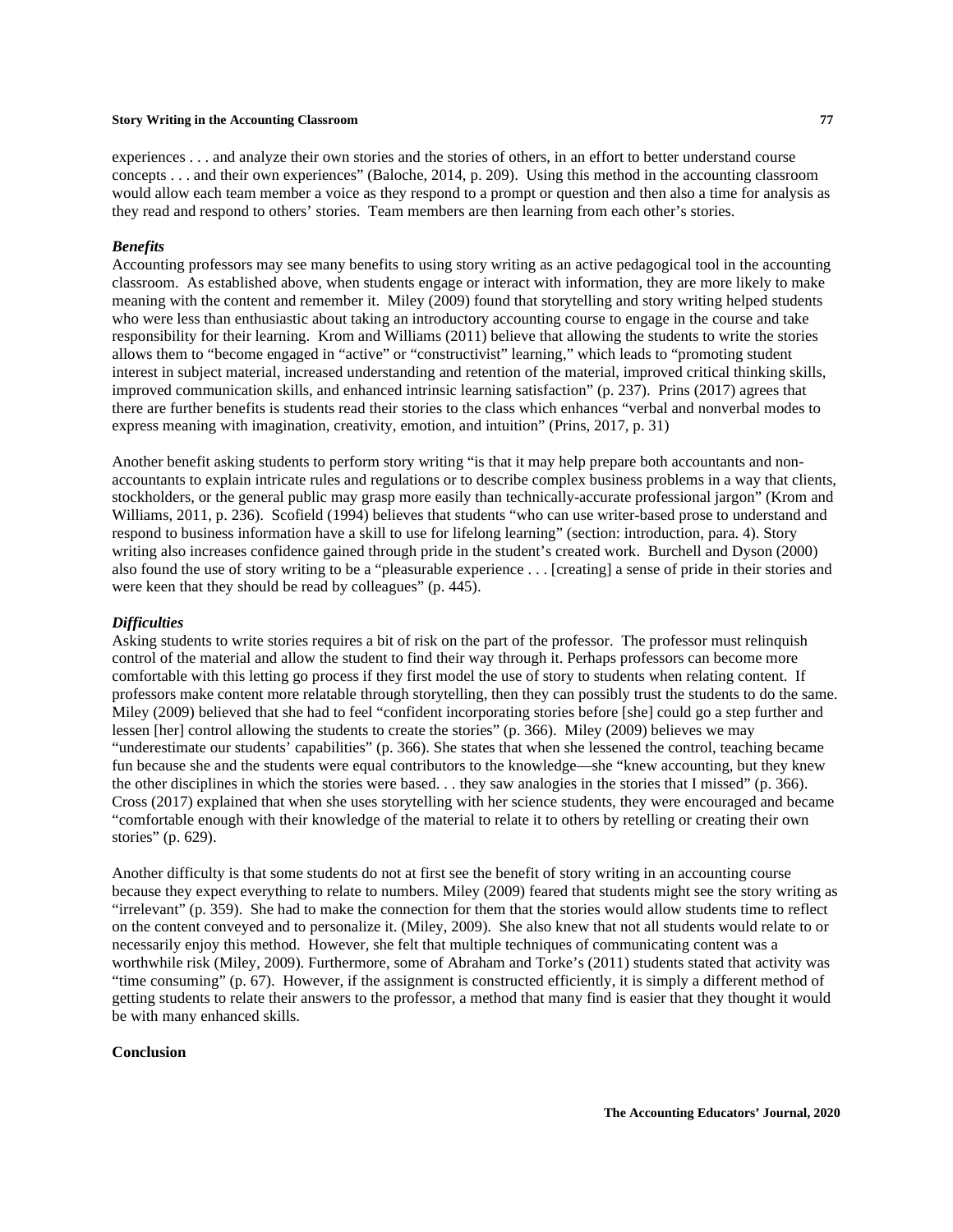experiences . . . and analyze their own stories and the stories of others, in an effort to better understand course concepts . . . and their own experiences" (Baloche, 2014, p. 209). Using this method in the accounting classroom would allow each team member a voice as they respond to a prompt or question and then also a time for analysis as they read and respond to others' stories. Team members are then learning from each other's stories.

## *Benefits*

Accounting professors may see many benefits to using story writing as an active pedagogical tool in the accounting classroom. As established above, when students engage or interact with information, they are more likely to make meaning with the content and remember it. Miley (2009) found that storytelling and story writing helped students who were less than enthusiastic about taking an introductory accounting course to engage in the course and take responsibility for their learning. Krom and Williams (2011) believe that allowing the students to write the stories allows them to "become engaged in "active" or "constructivist" learning," which leads to "promoting student interest in subject material, increased understanding and retention of the material, improved critical thinking skills, improved communication skills, and enhanced intrinsic learning satisfaction" (p. 237). Prins (2017) agrees that there are further benefits is students read their stories to the class which enhances "verbal and nonverbal modes to express meaning with imagination, creativity, emotion, and intuition" (Prins, 2017, p. 31)

Another benefit asking students to perform story writing "is that it may help prepare both accountants and nonaccountants to explain intricate rules and regulations or to describe complex business problems in a way that clients, stockholders, or the general public may grasp more easily than technically-accurate professional jargon" (Krom and Williams, 2011, p. 236). Scofield (1994) believes that students "who can use writer-based prose to understand and respond to business information have a skill to use for lifelong learning" (section: introduction, para. 4). Story writing also increases confidence gained through pride in the student's created work. Burchell and Dyson (2000) also found the use of story writing to be a "pleasurable experience . . . [creating] a sense of pride in their stories and were keen that they should be read by colleagues" (p. 445).

#### *Difficulties*

Asking students to write stories requires a bit of risk on the part of the professor. The professor must relinquish control of the material and allow the student to find their way through it. Perhaps professors can become more comfortable with this letting go process if they first model the use of story to students when relating content. If professors make content more relatable through storytelling, then they can possibly trust the students to do the same. Miley (2009) believed that she had to feel "confident incorporating stories before [she] could go a step further and lessen [her] control allowing the students to create the stories" (p. 366). Miley (2009) believes we may "underestimate our students' capabilities" (p. 366). She states that when she lessened the control, teaching became fun because she and the students were equal contributors to the knowledge—she "knew accounting, but they knew the other disciplines in which the stories were based. . . they saw analogies in the stories that I missed" (p. 366). Cross (2017) explained that when she uses storytelling with her science students, they were encouraged and became "comfortable enough with their knowledge of the material to relate it to others by retelling or creating their own stories" (p. 629).

Another difficulty is that some students do not at first see the benefit of story writing in an accounting course because they expect everything to relate to numbers. Miley (2009) feared that students might see the story writing as "irrelevant" (p. 359). She had to make the connection for them that the stories would allow students time to reflect on the content conveyed and to personalize it. (Miley, 2009). She also knew that not all students would relate to or necessarily enjoy this method. However, she felt that multiple techniques of communicating content was a worthwhile risk (Miley, 2009). Furthermore, some of Abraham and Torke's (2011) students stated that activity was "time consuming" (p. 67). However, if the assignment is constructed efficiently, it is simply a different method of getting students to relate their answers to the professor, a method that many find is easier that they thought it would be with many enhanced skills.

### **Conclusion**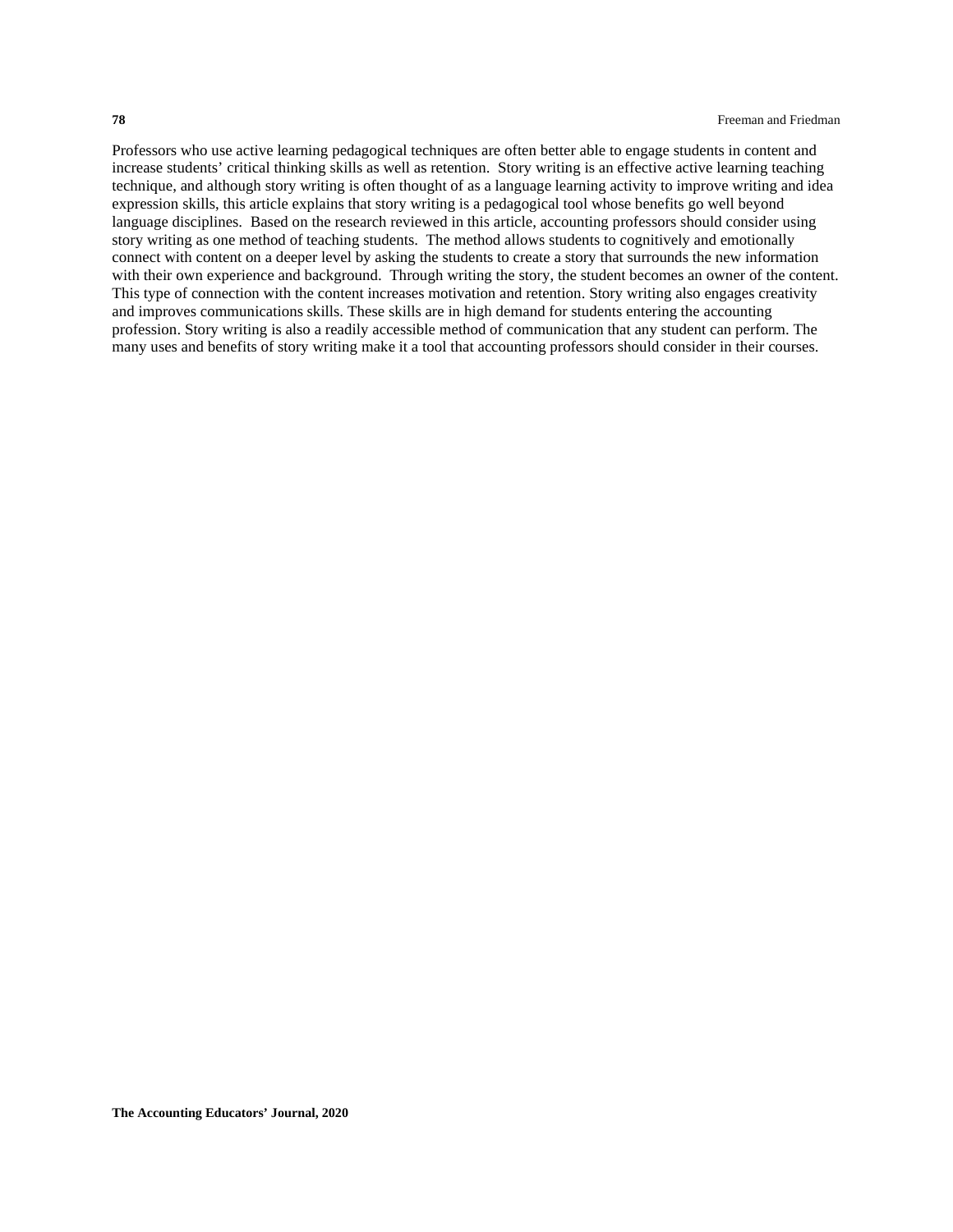Professors who use active learning pedagogical techniques are often better able to engage students in content and increase students' critical thinking skills as well as retention. Story writing is an effective active learning teaching technique, and although story writing is often thought of as a language learning activity to improve writing and idea expression skills, this article explains that story writing is a pedagogical tool whose benefits go well beyond language disciplines. Based on the research reviewed in this article, accounting professors should consider using story writing as one method of teaching students. The method allows students to cognitively and emotionally connect with content on a deeper level by asking the students to create a story that surrounds the new information with their own experience and background. Through writing the story, the student becomes an owner of the content. This type of connection with the content increases motivation and retention. Story writing also engages creativity and improves communications skills. These skills are in high demand for students entering the accounting profession. Story writing is also a readily accessible method of communication that any student can perform. The many uses and benefits of story writing make it a tool that accounting professors should consider in their courses.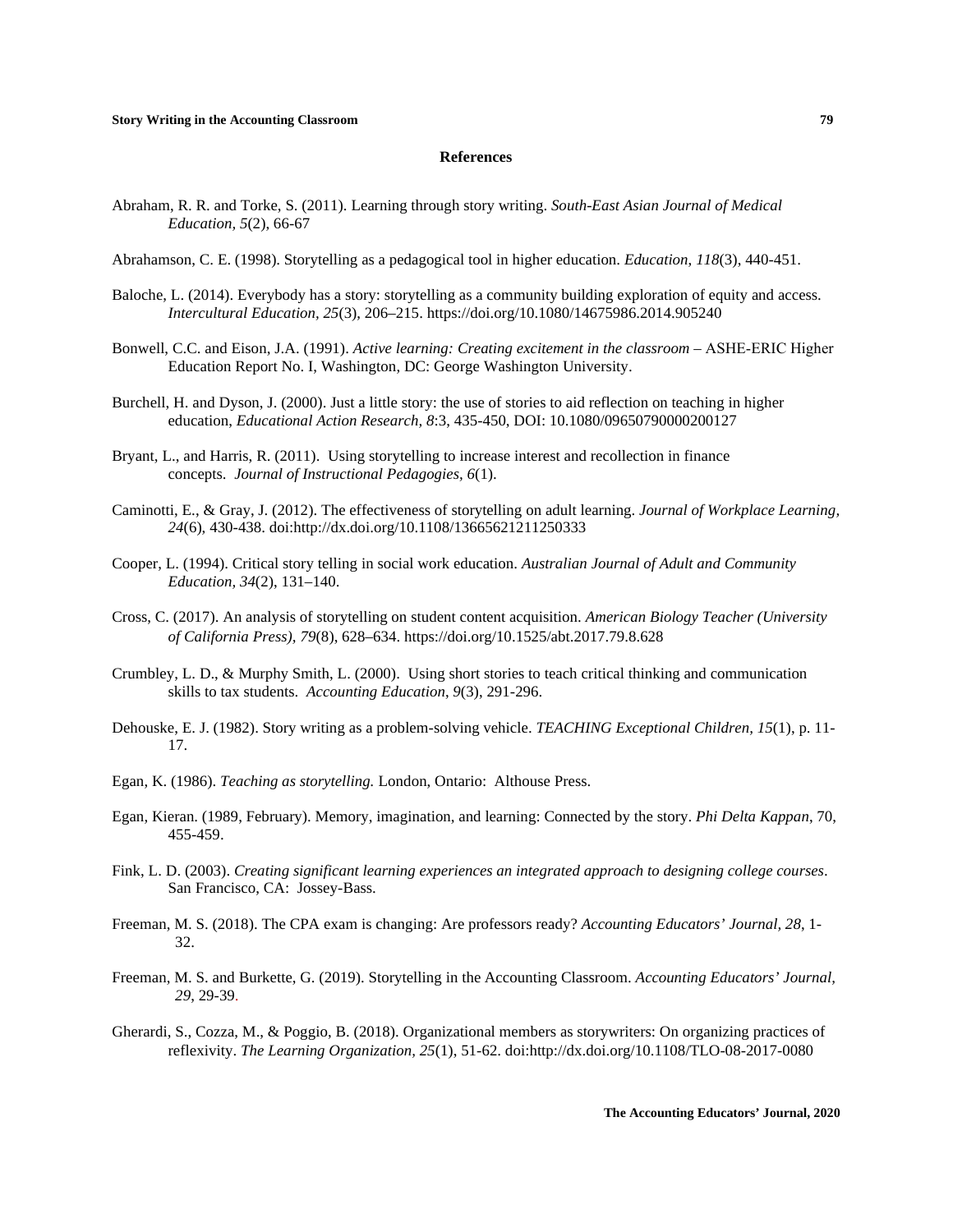#### **References**

Abraham, R. R. and Torke, S. (2011). Learning through story writing. *South-East Asian Journal of Medical Education, 5*(2), 66-67

Abrahamson, C. E. (1998). Storytelling as a pedagogical tool in higher education. *Education*, *118*(3), 440-451.

- Baloche, L. (2014). Everybody has a story: storytelling as a community building exploration of equity and access. *Intercultural Education, 25*(3), 206–215.<https://doi.org/10.1080/14675986.2014.905240>
- Bonwell, C.C. and Eison, J.A. (1991). *Active learning: Creating excitement in the classroom* ASHE‐ERIC Higher Education Report No. I, Washington, DC: George Washington University.
- Burchell, H. and Dyson, J. (2000). Just a little story: the use of stories to aid reflection on teaching in higher education, *Educational Action Research, 8*:3, 435-450, DOI: 10.1080/09650790000200127
- Bryant, L., and Harris, R. (2011). Using storytelling to increase interest and recollection in finance concepts. *Journal of Instructional Pedagogies, 6*(1).
- Caminotti, E., & Gray, J. (2012). The effectiveness of storytelling on adult learning. *Journal of Workplace Learning, 24*(6), 430-438. doi:http://dx.doi.org/10.1108/13665621211250333
- Cooper, L. (1994). Critical story telling in social work education. *Australian Journal of Adult and Community Education, 34*(2), 131–140.
- Cross, C. (2017). An analysis of storytelling on student content acquisition. *American Biology Teacher (University of California Press), 79*(8), 628–634[. https://doi.org/10.1525/abt.2017.79.8.628](https://doi.org/10.1525/abt.2017.79.8.628)
- Crumbley, L. D., & Murphy Smith, L. (2000). Using short stories to teach critical thinking and communication skills to tax students. *Accounting Education*, *9*(3), 291-296.
- Dehouske, E. J. (1982). Story writing as a problem-solving vehicle. *TEACHING Exceptional Children, 15*(1), p. 11- 17.
- Egan, K. (1986). *Teaching as storytelling.* London, Ontario: Althouse Press.
- Egan, Kieran. (1989, February). Memory, imagination, and learning: Connected by the story. *Phi Delta Kappan*, 70, 455-459.
- Fink, L. D. (2003). *Creating significant learning experiences an integrated approach to designing college courses*. San Francisco, CA: Jossey-Bass.
- Freeman, M. S. (2018). The CPA exam is changing: Are professors ready? *Accounting Educators' Journal, 28*, 1- 32.
- Freeman, M. S. and Burkette, G. (2019). Storytelling in the Accounting Classroom. *Accounting Educators' Journal, 29*, 29-39.
- Gherardi, S., Cozza, M., & Poggio, B. (2018). Organizational members as storywriters: On organizing practices of reflexivity. *The Learning Organization, 25*(1), 51-62. doi:http://dx.doi.org/10.1108/TLO-08-2017-0080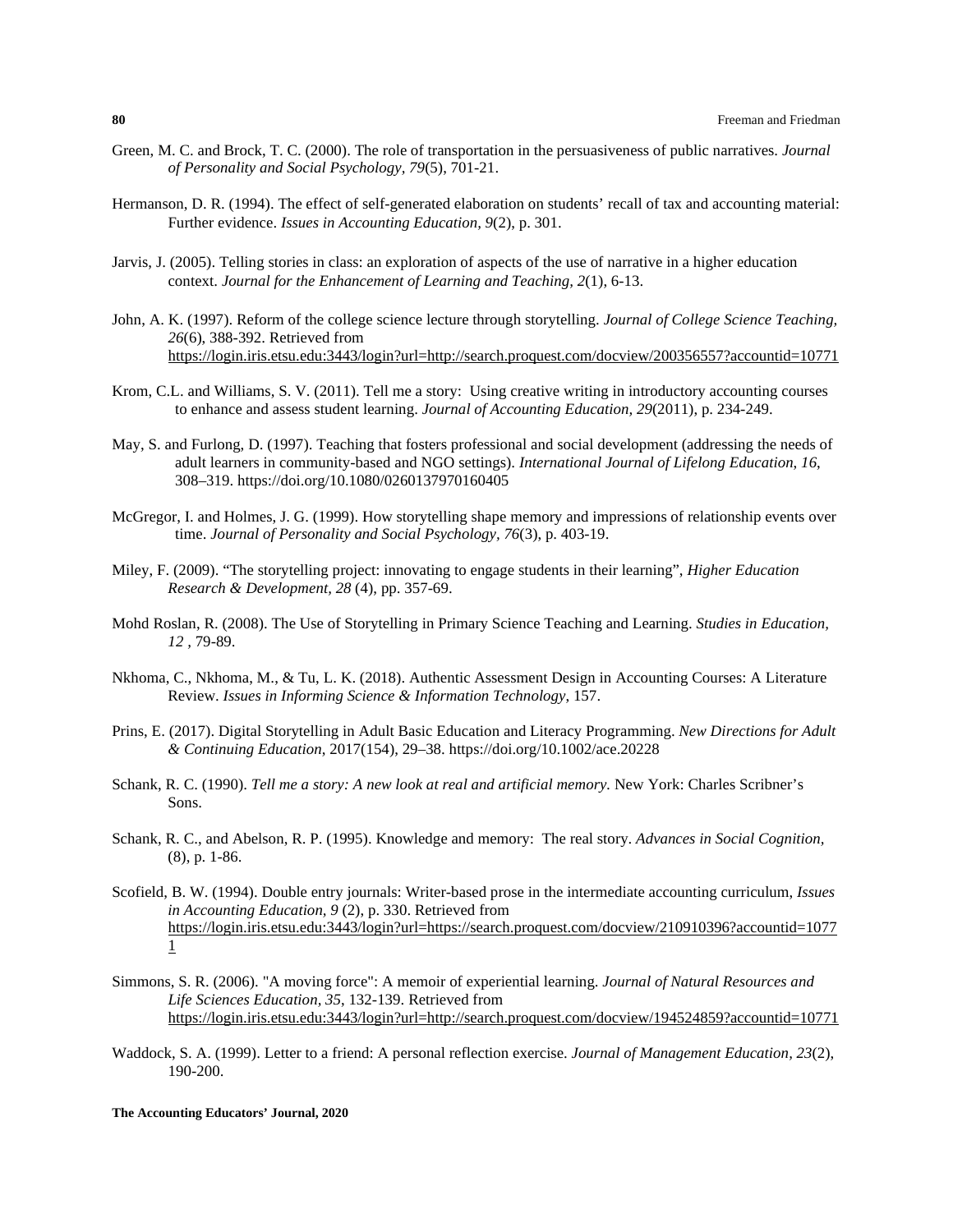- Green, M. C. and Brock, T. C. (2000). The role of transportation in the persuasiveness of public narratives. *Journal of Personality and Social Psychology, 79*(5), 701-21.
- Hermanson, D. R. (1994). The effect of self-generated elaboration on students' recall of tax and accounting material: Further evidence. *Issues in Accounting Education, 9*(2), p. 301.
- Jarvis, J. (2005). Telling stories in class: an exploration of aspects of the use of narrative in a higher education context. *Journal for the Enhancement of Learning and Teaching, 2*(1), 6-13.
- John, A. K. (1997). Reform of the college science lecture through storytelling. *Journal of College Science Teaching, 26*(6), 388-392. Retrieved from <https://login.iris.etsu.edu:3443/login?url=http://search.proquest.com/docview/200356557?accountid=10771>
- Krom, C.L. and Williams, S. V. (2011). Tell me a story: Using creative writing in introductory accounting courses to enhance and assess student learning. *Journal of Accounting Education, 29*(2011), p. 234-249.
- May, S. and Furlong, D. (1997). Teaching that fosters professional and social development (addressing the needs of adult learners in community-based and NGO settings). *International Journal of Lifelong Education*, *16*, 308–319[. https://doi.org/10.1080/0260137970160405](https://doi.org/10.1080/0260137970160405)
- McGregor, I. and Holmes, J. G. (1999). How storytelling shape memory and impressions of relationship events over time. *Journal of Personality and Social Psychology, 76*(3), p. 403-19.
- Miley, F. (2009). "The storytelling project: innovating to engage students in their learning", *Higher Education Research & Development, 28* (4), pp. 357-69.
- Mohd Roslan, R. (2008). The Use of Storytelling in Primary Science Teaching and Learning. *Studies in Education, 12 ,* 79-89.
- Nkhoma, C., Nkhoma, M., & Tu, L. K. (2018). Authentic Assessment Design in Accounting Courses: A Literature Review. *Issues in Informing Science & Information Technology*, 157.
- Prins, E. (2017). Digital Storytelling in Adult Basic Education and Literacy Programming. *New Directions for Adult & Continuing Education*, 2017(154), 29–38[. https://doi.org/10.1002/ace.20228](https://doi.org/10.1002/ace.20228)
- Schank, R. C. (1990). *Tell me a story: A new look at real and artificial memory.* New York: Charles Scribner's Sons.
- Schank, R. C., and Abelson, R. P. (1995). Knowledge and memory: The real story. *Advances in Social Cognition,*  (8), p. 1-86.
- Scofield, B. W. (1994). Double entry journals: Writer-based prose in the intermediate accounting curriculum, *Issues in Accounting Education, 9* (2), p. 330. Retrieved from [https://login.iris.etsu.edu:3443/login?url=https://search.proquest.com/docview/210910396?accountid=1077](https://login.iris.etsu.edu:3443/login?url=https://search.proquest.com/docview/210910396?accountid=10771) [1](https://login.iris.etsu.edu:3443/login?url=https://search.proquest.com/docview/210910396?accountid=10771)
- Simmons, S. R. (2006). "A moving force": A memoir of experiential learning. *Journal of Natural Resources and Life Sciences Education, 35*, 132-139. Retrieved from <https://login.iris.etsu.edu:3443/login?url=http://search.proquest.com/docview/194524859?accountid=10771>
- Waddock, S. A. (1999). Letter to a friend: A personal reflection exercise. *Journal of Management Education, 23*(2), 190-200.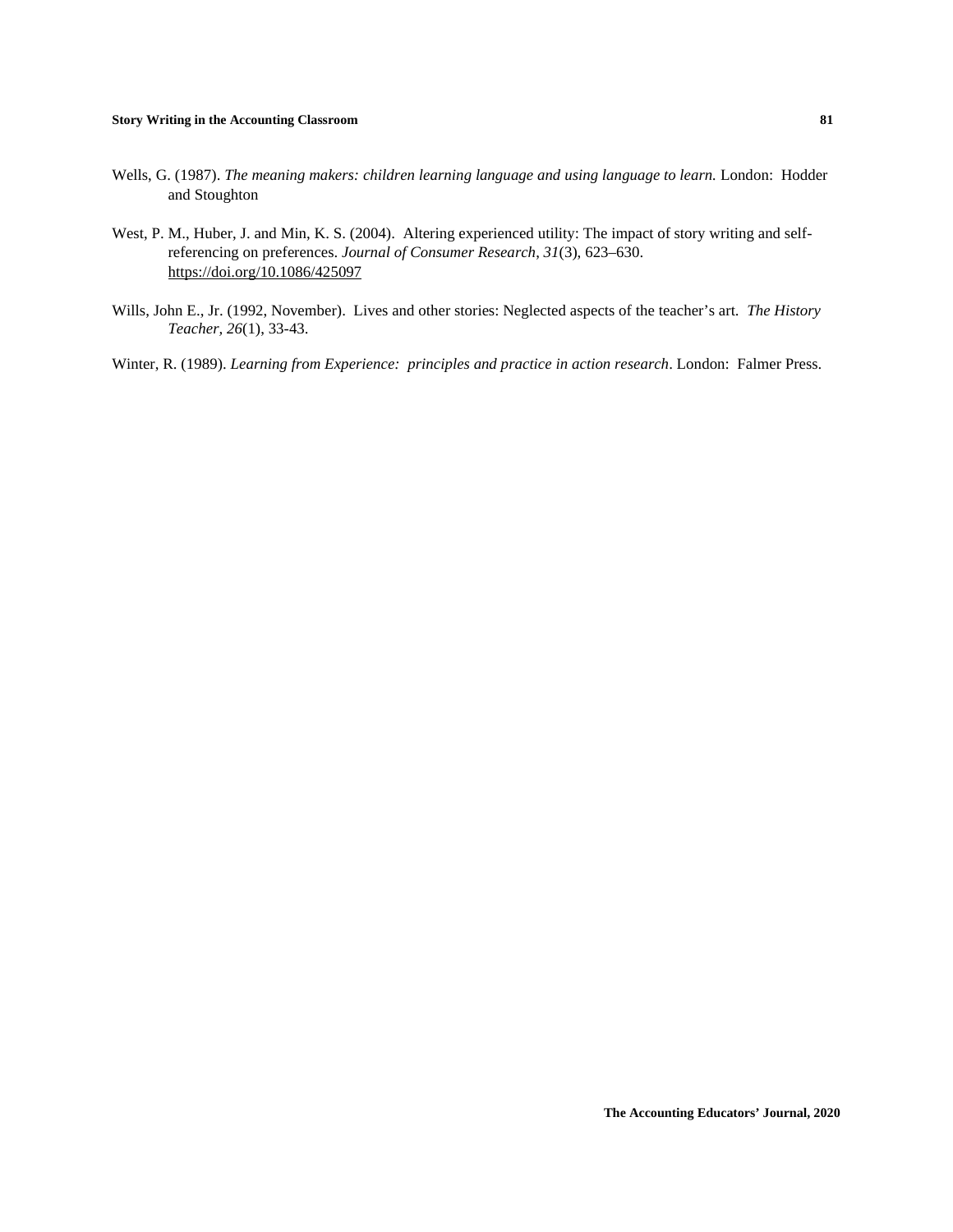- Wells, G. (1987). *The meaning makers: children learning language and using language to learn.* London: Hodder and Stoughton
- West, P. M., Huber, J. and Min, K. S. (2004). Altering experienced utility: The impact of story writing and selfreferencing on preferences. *Journal of Consumer Research*, *31*(3), 623–630. <https://doi.org/10.1086/425097>
- Wills, John E., Jr. (1992, November). Lives and other stories: Neglected aspects of the teacher's art. *The History Teacher, 26*(1), 33-43.
- Winter, R. (1989). *Learning from Experience: principles and practice in action research*. London: Falmer Press.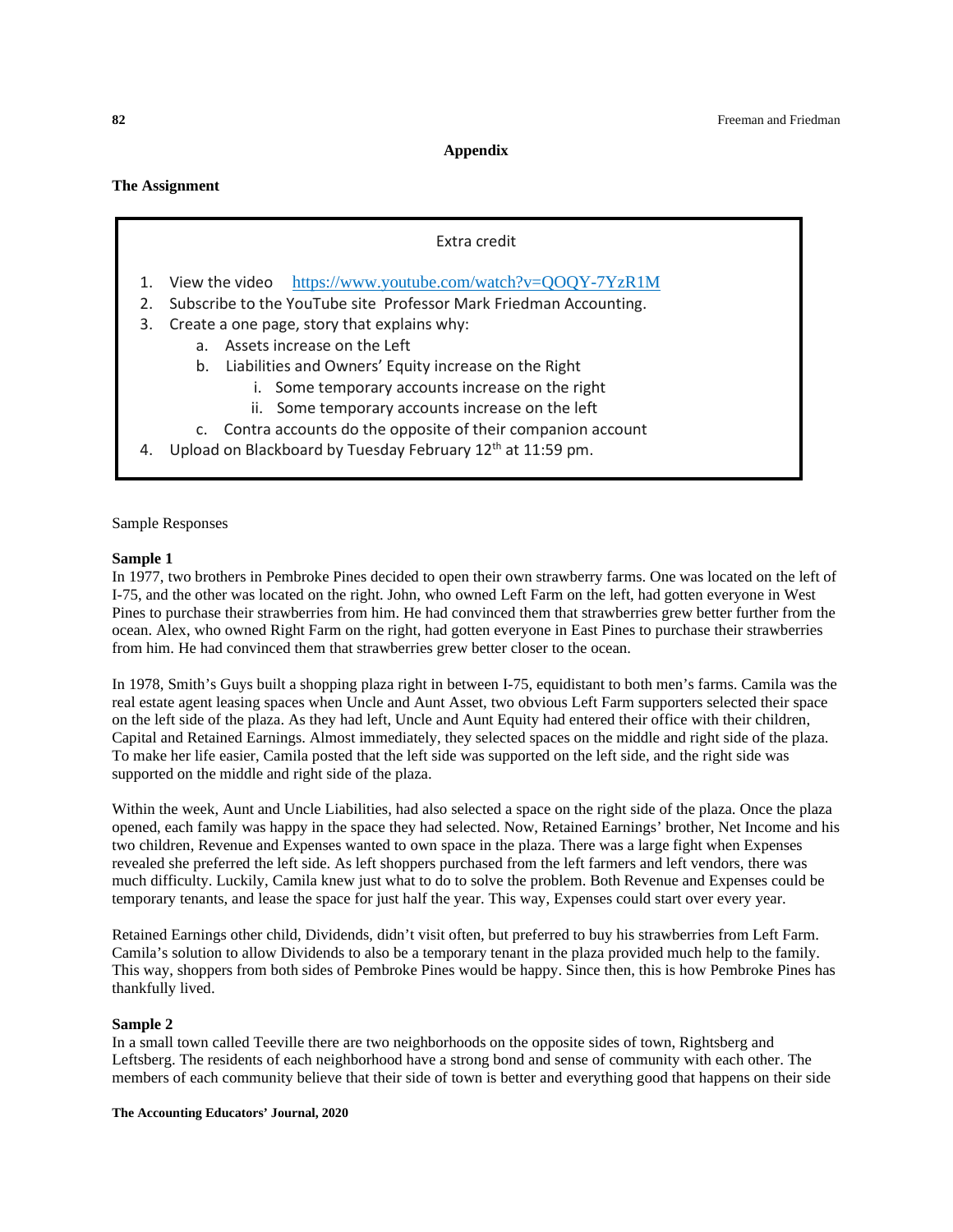**Appendix**

**The Assignment**

# Extra credit

- 1. View the video <https://www.youtube.com/watch?v=QOQY-7YzR1M>
- 2. Subscribe to the YouTube site Professor Mark Friedman Accounting.
- 3. Create a one page, story that explains why:
	- a. Assets increase on the Left
	- b. Liabilities and Owners' Equity increase on the Right
		- i. Some temporary accounts increase on the right
		- ii. Some temporary accounts increase on the left
	- c. Contra accounts do the opposite of their companion account
- 4. Upload on Blackboard by Tuesday February  $12<sup>th</sup>$  at  $11:59$  pm.

Sample Responses

#### **Sample 1**

In 1977, two brothers in Pembroke Pines decided to open their own strawberry farms. One was located on the left of I-75, and the other was located on the right. John, who owned Left Farm on the left, had gotten everyone in West Pines to purchase their strawberries from him. He had convinced them that strawberries grew better further from the ocean. Alex, who owned Right Farm on the right, had gotten everyone in East Pines to purchase their strawberries from him. He had convinced them that strawberries grew better closer to the ocean.

In 1978, Smith's Guys built a shopping plaza right in between I-75, equidistant to both men's farms. Camila was the real estate agent leasing spaces when Uncle and Aunt Asset, two obvious Left Farm supporters selected their space on the left side of the plaza. As they had left, Uncle and Aunt Equity had entered their office with their children, Capital and Retained Earnings. Almost immediately, they selected spaces on the middle and right side of the plaza. To make her life easier, Camila posted that the left side was supported on the left side, and the right side was supported on the middle and right side of the plaza.

Within the week, Aunt and Uncle Liabilities, had also selected a space on the right side of the plaza. Once the plaza opened, each family was happy in the space they had selected. Now, Retained Earnings' brother, Net Income and his two children, Revenue and Expenses wanted to own space in the plaza. There was a large fight when Expenses revealed she preferred the left side. As left shoppers purchased from the left farmers and left vendors, there was much difficulty. Luckily, Camila knew just what to do to solve the problem. Both Revenue and Expenses could be temporary tenants, and lease the space for just half the year. This way, Expenses could start over every year.

Retained Earnings other child, Dividends, didn't visit often, but preferred to buy his strawberries from Left Farm. Camila's solution to allow Dividends to also be a temporary tenant in the plaza provided much help to the family. This way, shoppers from both sides of Pembroke Pines would be happy. Since then, this is how Pembroke Pines has thankfully lived.

### **Sample 2**

In a small town called Teeville there are two neighborhoods on the opposite sides of town, Rightsberg and Leftsberg. The residents of each neighborhood have a strong bond and sense of community with each other. The members of each community believe that their side of town is better and everything good that happens on their side

**The Accounting Educators' Journal, 2020**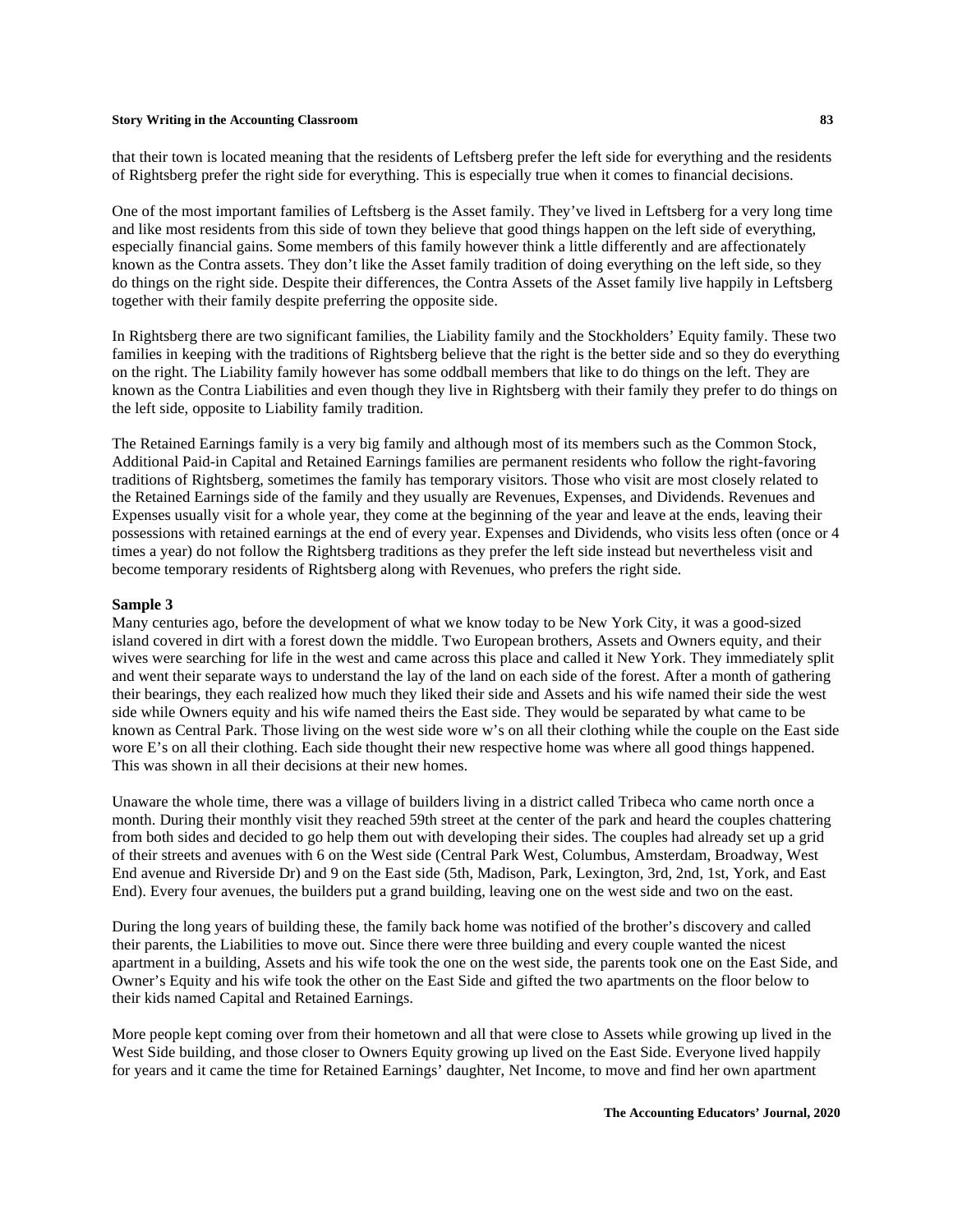that their town is located meaning that the residents of Leftsberg prefer the left side for everything and the residents of Rightsberg prefer the right side for everything. This is especially true when it comes to financial decisions.

One of the most important families of Leftsberg is the Asset family. They've lived in Leftsberg for a very long time and like most residents from this side of town they believe that good things happen on the left side of everything, especially financial gains. Some members of this family however think a little differently and are affectionately known as the Contra assets. They don't like the Asset family tradition of doing everything on the left side, so they do things on the right side. Despite their differences, the Contra Assets of the Asset family live happily in Leftsberg together with their family despite preferring the opposite side.

In Rightsberg there are two significant families, the Liability family and the Stockholders' Equity family. These two families in keeping with the traditions of Rightsberg believe that the right is the better side and so they do everything on the right. The Liability family however has some oddball members that like to do things on the left. They are known as the Contra Liabilities and even though they live in Rightsberg with their family they prefer to do things on the left side, opposite to Liability family tradition.

The Retained Earnings family is a very big family and although most of its members such as the Common Stock, Additional Paid-in Capital and Retained Earnings families are permanent residents who follow the right-favoring traditions of Rightsberg, sometimes the family has temporary visitors. Those who visit are most closely related to the Retained Earnings side of the family and they usually are Revenues, Expenses, and Dividends. Revenues and Expenses usually visit for a whole year, they come at the beginning of the year and leave at the ends, leaving their possessions with retained earnings at the end of every year. Expenses and Dividends, who visits less often (once or 4 times a year) do not follow the Rightsberg traditions as they prefer the left side instead but nevertheless visit and become temporary residents of Rightsberg along with Revenues, who prefers the right side.

#### **Sample 3**

Many centuries ago, before the development of what we know today to be New York City, it was a good-sized island covered in dirt with a forest down the middle. Two European brothers, Assets and Owners equity, and their wives were searching for life in the west and came across this place and called it New York. They immediately split and went their separate ways to understand the lay of the land on each side of the forest. After a month of gathering their bearings, they each realized how much they liked their side and Assets and his wife named their side the west side while Owners equity and his wife named theirs the East side. They would be separated by what came to be known as Central Park. Those living on the west side wore w's on all their clothing while the couple on the East side wore E's on all their clothing. Each side thought their new respective home was where all good things happened. This was shown in all their decisions at their new homes.

Unaware the whole time, there was a village of builders living in a district called Tribeca who came north once a month. During their monthly visit they reached 59th street at the center of the park and heard the couples chattering from both sides and decided to go help them out with developing their sides. The couples had already set up a grid of their streets and avenues with 6 on the West side (Central Park West, Columbus, Amsterdam, Broadway, West End avenue and Riverside Dr) and 9 on the East side (5th, Madison, Park, Lexington, 3rd, 2nd, 1st, York, and East End). Every four avenues, the builders put a grand building, leaving one on the west side and two on the east.

During the long years of building these, the family back home was notified of the brother's discovery and called their parents, the Liabilities to move out. Since there were three building and every couple wanted the nicest apartment in a building, Assets and his wife took the one on the west side, the parents took one on the East Side, and Owner's Equity and his wife took the other on the East Side and gifted the two apartments on the floor below to their kids named Capital and Retained Earnings.

More people kept coming over from their hometown and all that were close to Assets while growing up lived in the West Side building, and those closer to Owners Equity growing up lived on the East Side. Everyone lived happily for years and it came the time for Retained Earnings' daughter, Net Income, to move and find her own apartment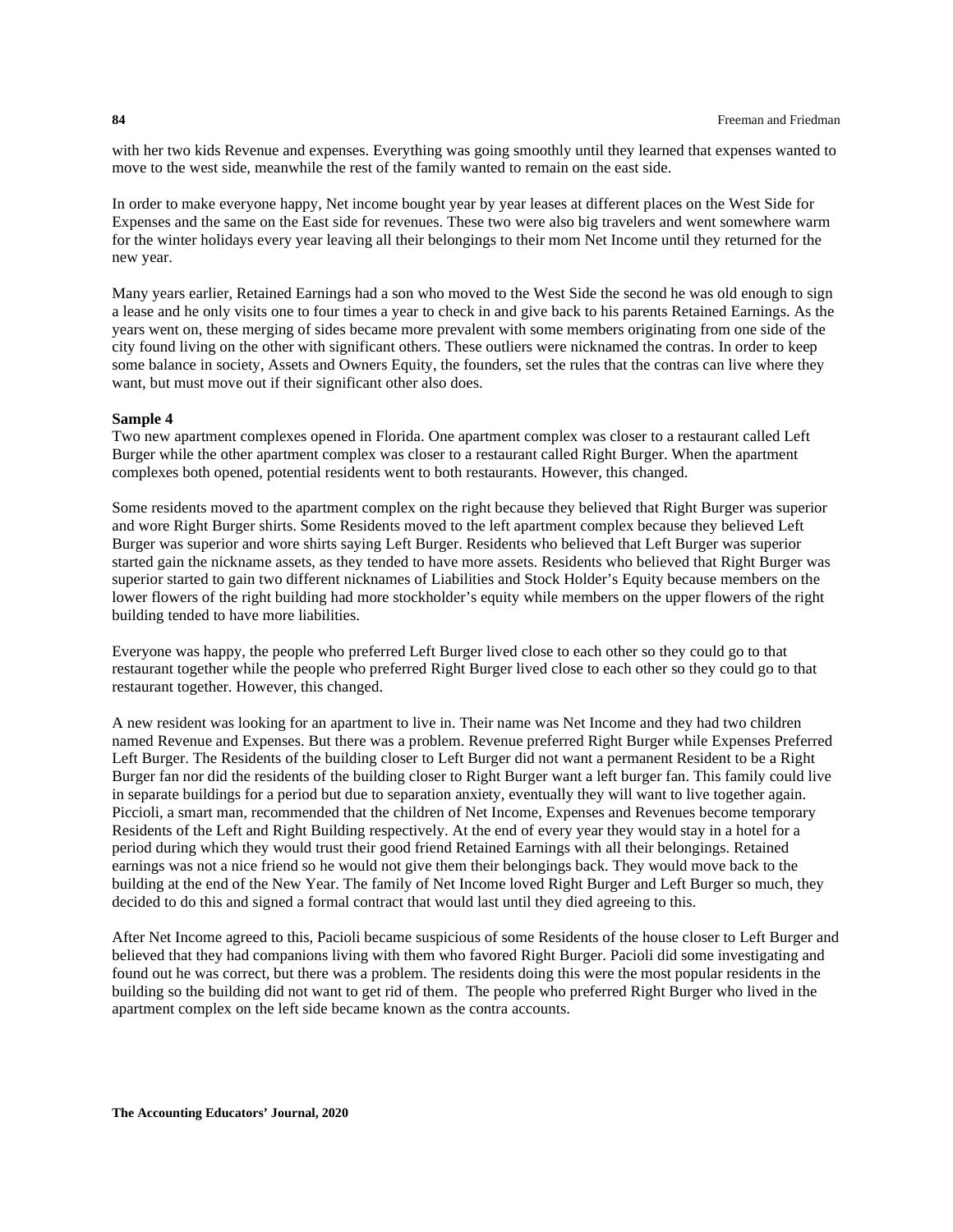with her two kids Revenue and expenses. Everything was going smoothly until they learned that expenses wanted to move to the west side, meanwhile the rest of the family wanted to remain on the east side.

In order to make everyone happy, Net income bought year by year leases at different places on the West Side for Expenses and the same on the East side for revenues. These two were also big travelers and went somewhere warm for the winter holidays every year leaving all their belongings to their mom Net Income until they returned for the new year.

Many years earlier, Retained Earnings had a son who moved to the West Side the second he was old enough to sign a lease and he only visits one to four times a year to check in and give back to his parents Retained Earnings. As the years went on, these merging of sides became more prevalent with some members originating from one side of the city found living on the other with significant others. These outliers were nicknamed the contras. In order to keep some balance in society, Assets and Owners Equity, the founders, set the rules that the contras can live where they want, but must move out if their significant other also does.

## **Sample 4**

Two new apartment complexes opened in Florida. One apartment complex was closer to a restaurant called Left Burger while the other apartment complex was closer to a restaurant called Right Burger. When the apartment complexes both opened, potential residents went to both restaurants. However, this changed.

Some residents moved to the apartment complex on the right because they believed that Right Burger was superior and wore Right Burger shirts. Some Residents moved to the left apartment complex because they believed Left Burger was superior and wore shirts saying Left Burger. Residents who believed that Left Burger was superior started gain the nickname assets, as they tended to have more assets. Residents who believed that Right Burger was superior started to gain two different nicknames of Liabilities and Stock Holder's Equity because members on the lower flowers of the right building had more stockholder's equity while members on the upper flowers of the right building tended to have more liabilities.

Everyone was happy, the people who preferred Left Burger lived close to each other so they could go to that restaurant together while the people who preferred Right Burger lived close to each other so they could go to that restaurant together. However, this changed.

A new resident was looking for an apartment to live in. Their name was Net Income and they had two children named Revenue and Expenses. But there was a problem. Revenue preferred Right Burger while Expenses Preferred Left Burger. The Residents of the building closer to Left Burger did not want a permanent Resident to be a Right Burger fan nor did the residents of the building closer to Right Burger want a left burger fan. This family could live in separate buildings for a period but due to separation anxiety, eventually they will want to live together again. Piccioli, a smart man, recommended that the children of Net Income, Expenses and Revenues become temporary Residents of the Left and Right Building respectively. At the end of every year they would stay in a hotel for a period during which they would trust their good friend Retained Earnings with all their belongings. Retained earnings was not a nice friend so he would not give them their belongings back. They would move back to the building at the end of the New Year. The family of Net Income loved Right Burger and Left Burger so much, they decided to do this and signed a formal contract that would last until they died agreeing to this.

After Net Income agreed to this, Pacioli became suspicious of some Residents of the house closer to Left Burger and believed that they had companions living with them who favored Right Burger. Pacioli did some investigating and found out he was correct, but there was a problem. The residents doing this were the most popular residents in the building so the building did not want to get rid of them. The people who preferred Right Burger who lived in the apartment complex on the left side became known as the contra accounts.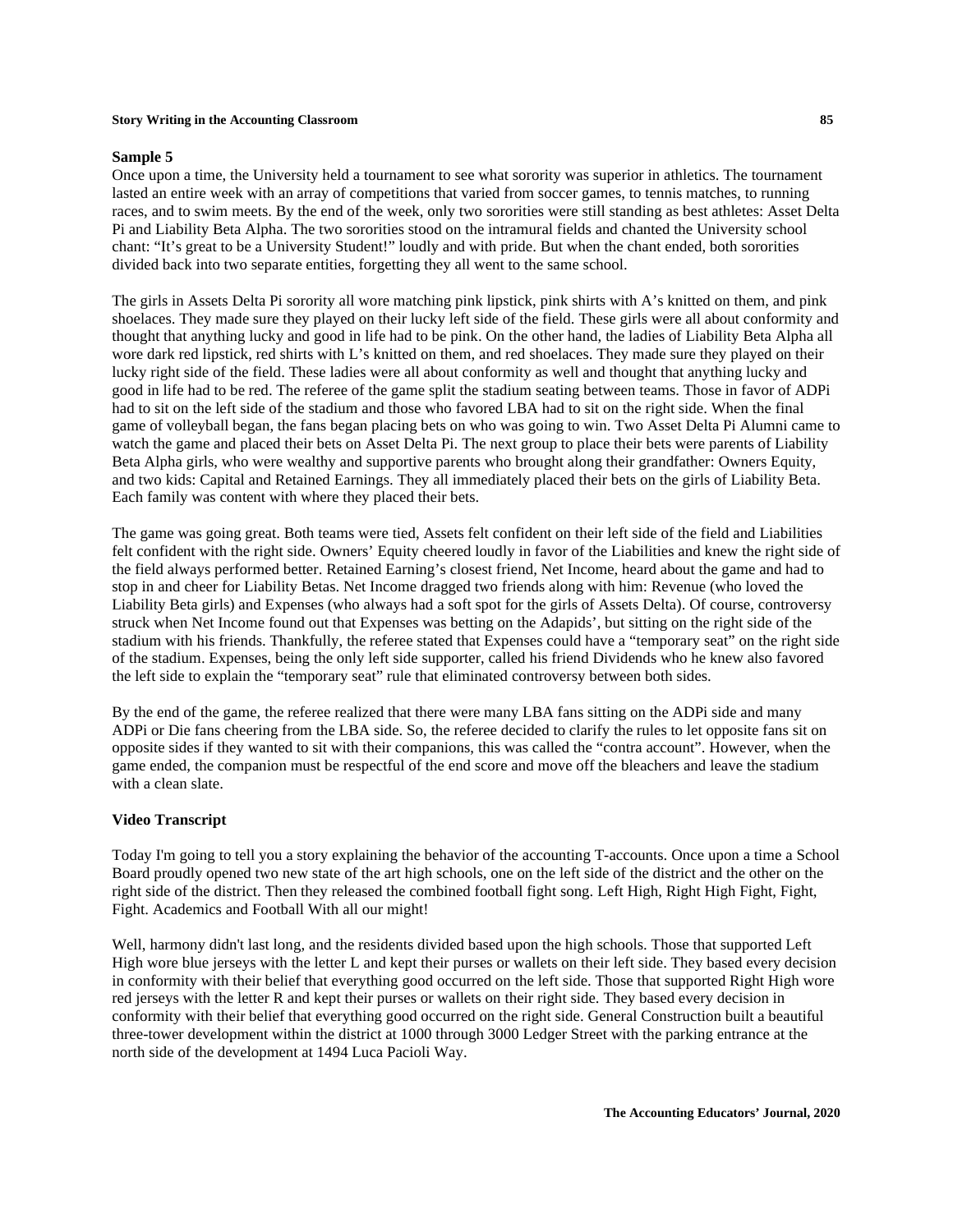#### **Sample 5**

Once upon a time, the University held a tournament to see what sorority was superior in athletics. The tournament lasted an entire week with an array of competitions that varied from soccer games, to tennis matches, to running races, and to swim meets. By the end of the week, only two sororities were still standing as best athletes: Asset Delta Pi and Liability Beta Alpha. The two sororities stood on the intramural fields and chanted the University school chant: "It's great to be a University Student!" loudly and with pride. But when the chant ended, both sororities divided back into two separate entities, forgetting they all went to the same school.

The girls in Assets Delta Pi sorority all wore matching pink lipstick, pink shirts with A's knitted on them, and pink shoelaces. They made sure they played on their lucky left side of the field. These girls were all about conformity and thought that anything lucky and good in life had to be pink. On the other hand, the ladies of Liability Beta Alpha all wore dark red lipstick, red shirts with L's knitted on them, and red shoelaces. They made sure they played on their lucky right side of the field. These ladies were all about conformity as well and thought that anything lucky and good in life had to be red. The referee of the game split the stadium seating between teams. Those in favor of ADPi had to sit on the left side of the stadium and those who favored LBA had to sit on the right side. When the final game of volleyball began, the fans began placing bets on who was going to win. Two Asset Delta Pi Alumni came to watch the game and placed their bets on Asset Delta Pi. The next group to place their bets were parents of Liability Beta Alpha girls, who were wealthy and supportive parents who brought along their grandfather: Owners Equity, and two kids: Capital and Retained Earnings. They all immediately placed their bets on the girls of Liability Beta. Each family was content with where they placed their bets.

The game was going great. Both teams were tied, Assets felt confident on their left side of the field and Liabilities felt confident with the right side. Owners' Equity cheered loudly in favor of the Liabilities and knew the right side of the field always performed better. Retained Earning's closest friend, Net Income, heard about the game and had to stop in and cheer for Liability Betas. Net Income dragged two friends along with him: Revenue (who loved the Liability Beta girls) and Expenses (who always had a soft spot for the girls of Assets Delta). Of course, controversy struck when Net Income found out that Expenses was betting on the Adapids', but sitting on the right side of the stadium with his friends. Thankfully, the referee stated that Expenses could have a "temporary seat" on the right side of the stadium. Expenses, being the only left side supporter, called his friend Dividends who he knew also favored the left side to explain the "temporary seat" rule that eliminated controversy between both sides.

By the end of the game, the referee realized that there were many LBA fans sitting on the ADPi side and many ADPi or Die fans cheering from the LBA side. So, the referee decided to clarify the rules to let opposite fans sit on opposite sides if they wanted to sit with their companions, this was called the "contra account". However, when the game ended, the companion must be respectful of the end score and move off the bleachers and leave the stadium with a clean slate.

### **Video Transcript**

Today I'm going to tell you a story explaining the behavior of the accounting T-accounts. Once upon a time a School Board proudly opened two new state of the art high schools, one on the left side of the district and the other on the right side of the district. Then they released the combined football fight song. Left High, Right High Fight, Fight, Fight. Academics and Football With all our might!

Well, harmony didn't last long, and the residents divided based upon the high schools. Those that supported Left High wore blue jerseys with the letter L and kept their purses or wallets on their left side. They based every decision in conformity with their belief that everything good occurred on the left side. Those that supported Right High wore red jerseys with the letter R and kept their purses or wallets on their right side. They based every decision in conformity with their belief that everything good occurred on the right side. General Construction built a beautiful three-tower development within the district at 1000 through 3000 Ledger Street with the parking entrance at the north side of the development at 1494 Luca Pacioli Way.